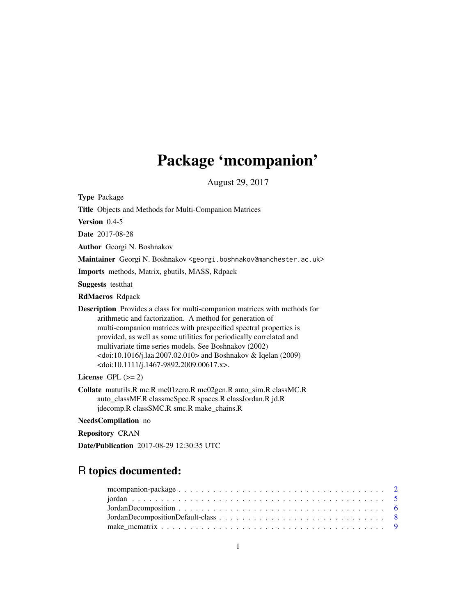# Package 'mcompanion'

August 29, 2017

<span id="page-0-0"></span>

| <b>Type Package</b>                                                                                                                                                                                                                                                                                                                                                                                                                                                                              |
|--------------------------------------------------------------------------------------------------------------------------------------------------------------------------------------------------------------------------------------------------------------------------------------------------------------------------------------------------------------------------------------------------------------------------------------------------------------------------------------------------|
| Title Objects and Methods for Multi-Companion Matrices                                                                                                                                                                                                                                                                                                                                                                                                                                           |
| Version 0.4-5                                                                                                                                                                                                                                                                                                                                                                                                                                                                                    |
| <b>Date 2017-08-28</b>                                                                                                                                                                                                                                                                                                                                                                                                                                                                           |
| Author Georgi N. Boshnakov                                                                                                                                                                                                                                                                                                                                                                                                                                                                       |
| Maintainer Georgi N. Boshnakov < georgi.boshnakov@manchester.ac.uk>                                                                                                                                                                                                                                                                                                                                                                                                                              |
| <b>Imports</b> methods, Matrix, gbutils, MASS, Rdpack                                                                                                                                                                                                                                                                                                                                                                                                                                            |
| <b>Suggests</b> testthat                                                                                                                                                                                                                                                                                                                                                                                                                                                                         |
| <b>RdMacros</b> Rdpack                                                                                                                                                                                                                                                                                                                                                                                                                                                                           |
| Description Provides a class for multi-companion matrices with methods for<br>arithmetic and factorization. A method for generation of<br>multi-companion matrices with prespecified spectral properties is<br>provided, as well as some utilities for periodically correlated and<br>multivariate time series models. See Boshnakov (2002)<br><doi:10.1016 j.laa.2007.02.010=""> and Boshnakov &amp; Iqelan (2009)<br/><math>&lt;</math>doi:10.1111/j.1467-9892.2009.00617.x&gt;.</doi:10.1016> |
| License GPL $(>= 2)$                                                                                                                                                                                                                                                                                                                                                                                                                                                                             |
| <b>Collate</b> matutils.R mc.R mc01zero.R mc02gen.R auto_sim.R classMC.R<br>auto_classMF.R classmcSpec.R spaces.R classJordan.R jd.R<br>jdecomp.R classSMC.R smc.R make_chains.R                                                                                                                                                                                                                                                                                                                 |
| NeedsCompilation no                                                                                                                                                                                                                                                                                                                                                                                                                                                                              |

Repository CRAN

Date/Publication 2017-08-29 12:30:35 UTC

# R topics documented: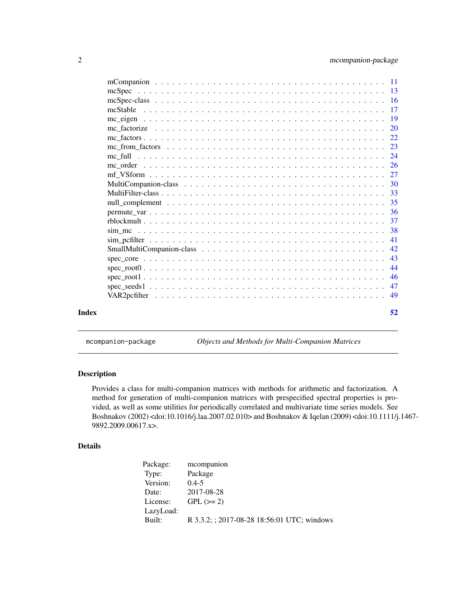<span id="page-1-0"></span>

| Index |        | 52              |
|-------|--------|-----------------|
|       |        | 49              |
|       |        | 47              |
|       |        | 46              |
|       |        | 44              |
|       |        | 43              |
|       |        | 42              |
|       |        | 41              |
|       |        | 38              |
|       |        | 37              |
|       |        | 36              |
|       |        | 35              |
|       |        | 33              |
|       |        | 30              |
|       |        | 27              |
|       |        | 26              |
|       |        | 24              |
|       |        | 23              |
|       |        | 22              |
|       |        | 20              |
|       |        | 19              |
|       |        | 17              |
|       |        | <sup>16</sup>   |
|       | mcSpec | 13              |
|       |        | $\overline{11}$ |

mcompanion-package *Objects and Methods for Multi-Companion Matrices*

# Description

Provides a class for multi-companion matrices with methods for arithmetic and factorization. A method for generation of multi-companion matrices with prespecified spectral properties is provided, as well as some utilities for periodically correlated and multivariate time series models. See Boshnakov (2002) <doi:10.1016/j.laa.2007.02.010> and Boshnakov & Iqelan (2009) <doi:10.1111/j.1467- 9892.2009.00617.x>.

# Details

| Package:  | mcompanion                                  |
|-----------|---------------------------------------------|
| Type:     | Package                                     |
| Version:  | $0.4 - 5$                                   |
| Date:     | 2017-08-28                                  |
| License:  | $GPL (=2)$                                  |
| LazyLoad: |                                             |
| Built:    | R 3.3.2; ; 2017-08-28 18:56:01 UTC; windows |
|           |                                             |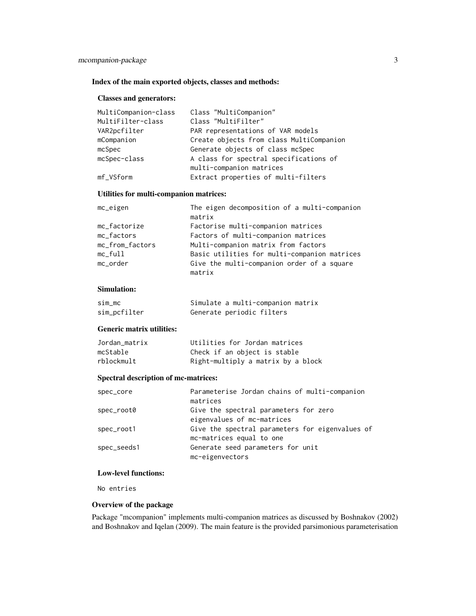# Index of the main exported objects, classes and methods:

# Classes and generators:

| MultiCompanion-class | Class "MultiCompanion"                   |
|----------------------|------------------------------------------|
| MultiFilter-class    | Class "MultiFilter"                      |
| VAR2pcfilter         | PAR representations of VAR models        |
| mCompanion           | Create objects from class MultiCompanion |
| mcSpec               | Generate objects of class mcSpec         |
| mcSpec-class         | A class for spectral specifications of   |
|                      | multi-companion matrices                 |
| mf_VSform            | Extract properties of multi-filters      |

# Utilities for multi-companion matrices:

| mc_eigen        | The eigen decomposition of a multi-companion |  |  |
|-----------------|----------------------------------------------|--|--|
|                 | matrix                                       |  |  |
| mc_factorize    | Factorise multi-companion matrices           |  |  |
| mc_factors      | Factors of multi-companion matrices          |  |  |
| mc_from_factors | Multi-companion matrix from factors          |  |  |
| $mc_full$       | Basic utilities for multi-companion matrices |  |  |
| mc_order        | Give the multi-companion order of a square   |  |  |
|                 | matrix                                       |  |  |

# Simulation:

| sim mc       | Simulate a multi-companion matrix |
|--------------|-----------------------------------|
| sim_pcfilter | Generate periodic filters         |

#### Generic matrix utilities:

| Jordan matrix | Utilities for Jordan matrices      |
|---------------|------------------------------------|
| mcStable      | Check if an object is stable       |
| rblockmult    | Right-multiply a matrix by a block |

# Spectral description of mc-matrices:

| Parameterise Jordan chains of multi-companion   |
|-------------------------------------------------|
| matrices                                        |
| Give the spectral parameters for zero           |
| eigenvalues of mc-matrices                      |
| Give the spectral parameters for eigenvalues of |
| mc-matrices equal to one                        |
| Generate seed parameters for unit               |
| mc-eigenvectors                                 |
|                                                 |

# Low-level functions:

No entries

# Overview of the package

Package "mcompanion" implements multi-companion matrices as discussed by Boshnakov (2002) and Boshnakov and Iqelan (2009). The main feature is the provided parsimonious parameterisation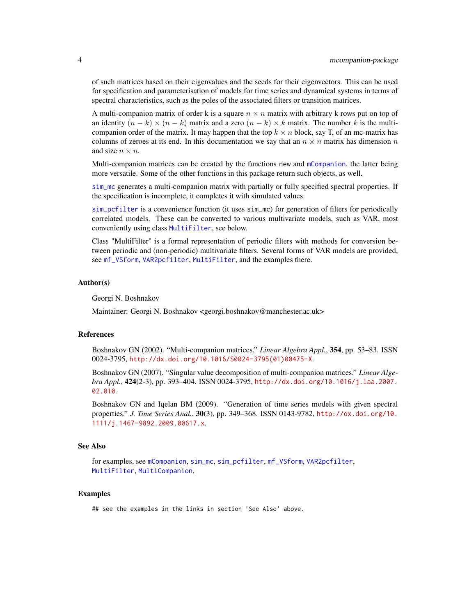<span id="page-3-0"></span>of such matrices based on their eigenvalues and the seeds for their eigenvectors. This can be used for specification and parameterisation of models for time series and dynamical systems in terms of spectral characteristics, such as the poles of the associated filters or transition matrices.

A multi-companion matrix of order k is a square  $n \times n$  matrix with arbitrary k rows put on top of an identity  $(n - k) \times (n - k)$  matrix and a zero  $(n - k) \times k$  matrix. The number k is the multicompanion order of the matrix. It may happen that the top  $k \times n$  block, say T, of an mc-matrix has columns of zeroes at its end. In this documentation we say that an  $n \times n$  matrix has dimension n and size  $n \times n$ .

Multi-companion matrices can be created by the functions new and [mCompanion](#page-10-1), the latter being more versatile. Some of the other functions in this package return such objects, as well.

[sim\\_mc](#page-37-1) generates a multi-companion matrix with partially or fully specified spectral properties. If the specification is incomplete, it completes it with simulated values.

[sim\\_pcfilter](#page-40-1) is a convenience function (it uses sim\_mc) for generation of filters for periodically correlated models. These can be converted to various multivariate models, such as VAR, most conveniently using class [MultiFilter](#page-32-1), see below.

Class "MultiFilter" is a formal representation of periodic filters with methods for conversion between periodic and (non-periodic) multivariate filters. Several forms of VAR models are provided, see [mf\\_VSform](#page-26-1), [VAR2pcfilter](#page-48-1), [MultiFilter](#page-32-1), and the examples there.

#### Author(s)

Georgi N. Boshnakov

Maintainer: Georgi N. Boshnakov <georgi.boshnakov@manchester.ac.uk>

#### References

Boshnakov GN (2002). "Multi-companion matrices." *Linear Algebra Appl.*, 354, pp. 53–83. ISSN 0024-3795, [http://dx.doi.org/10.1016/S0024-3795\(01\)00475-X](http://dx.doi.org/10.1016/S0024-3795(01)00475-X).

Boshnakov GN (2007). "Singular value decomposition of multi-companion matrices." *Linear Algebra Appl.*, 424(2-3), pp. 393–404. ISSN 0024-3795, [http://dx.doi.org/10.1016/j.laa.2007.](http://dx.doi.org/10.1016/j.laa.2007.02.010) [02.010](http://dx.doi.org/10.1016/j.laa.2007.02.010).

Boshnakov GN and Iqelan BM (2009). "Generation of time series models with given spectral properties." *J. Time Series Anal.*, 30(3), pp. 349–368. ISSN 0143-9782, [http://dx.doi.org/10.](http://dx.doi.org/10.1111/j.1467-9892.2009.00617.x) [1111/j.1467-9892.2009.00617.x](http://dx.doi.org/10.1111/j.1467-9892.2009.00617.x).

# See Also

for examples, see [mCompanion](#page-10-1), [sim\\_mc](#page-37-1), [sim\\_pcfilter](#page-40-1), [mf\\_VSform](#page-26-1), [VAR2pcfilter](#page-48-1), [MultiFilter](#page-32-1), [MultiCompanion](#page-29-1),

#### Examples

## see the examples in the links in section 'See Also' above.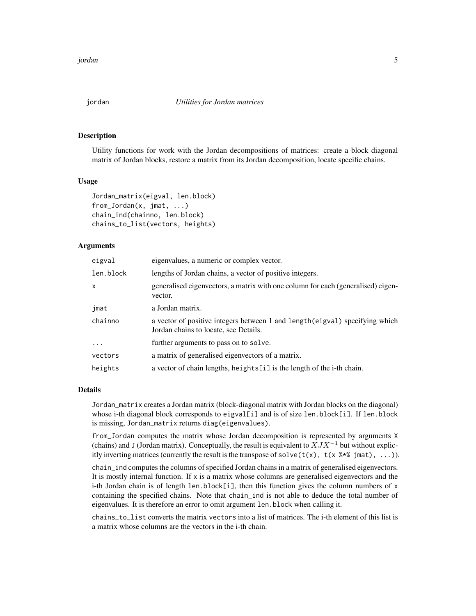# Description

Utility functions for work with the Jordan decompositions of matrices: create a block diagonal matrix of Jordan blocks, restore a matrix from its Jordan decomposition, locate specific chains.

# Usage

```
Jordan_matrix(eigval, len.block)
from_Jordan(x, jmat, ...)
chain_ind(chainno, len.block)
chains_to_list(vectors, heights)
```
#### Arguments

| eigval    | eigenvalues, a numeric or complex vector.                                                                             |
|-----------|-----------------------------------------------------------------------------------------------------------------------|
| len.block | lengths of Jordan chains, a vector of positive integers.                                                              |
| x         | generalised eigenvectors, a matrix with one column for each (generalised) eigen-<br>vector.                           |
| jmat      | a Jordan matrix.                                                                                                      |
| chainno   | a vector of positive integers between 1 and length (eigval) specifying which<br>Jordan chains to locate, see Details. |
| $\ddots$  | further arguments to pass on to solve.                                                                                |
| vectors   | a matrix of generalised eigenvectors of a matrix.                                                                     |
| heights   | a vector of chain lengths, heights[i] is the length of the i-th chain.                                                |

### Details

Jordan\_matrix creates a Jordan matrix (block-diagonal matrix with Jordan blocks on the diagonal) whose i-th diagonal block corresponds to eigval[i] and is of size len.block[i]. If len.block is missing, Jordan\_matrix returns diag(eigenvalues).

from\_Jordan computes the matrix whose Jordan decomposition is represented by arguments X (chains) and J (Jordan matrix). Conceptually, the result is equivalent to  $XJX^{-1}$  but without explicitly inverting matrices (currently the result is the transpose of solve( $t(x)$ ,  $t(x \frac{8t}{8})$  jmat), ...)).

chain\_ind computes the columns of specified Jordan chains in a matrix of generalised eigenvectors. It is mostly internal function. If  $x$  is a matrix whose columns are generalised eigenvectors and the i-th Jordan chain is of length len.block[i], then this function gives the column numbers of  $x$ containing the specified chains. Note that chain\_ind is not able to deduce the total number of eigenvalues. It is therefore an error to omit argument len.block when calling it.

chains\_to\_list converts the matrix vectors into a list of matrices. The i-th element of this list is a matrix whose columns are the vectors in the i-th chain.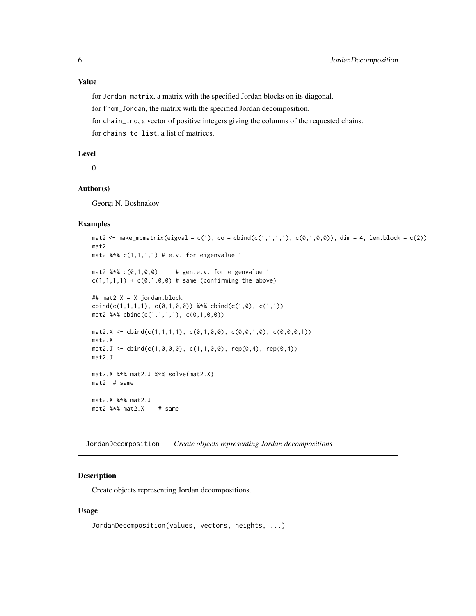# <span id="page-5-0"></span>Value

for Jordan\_matrix, a matrix with the specified Jordan blocks on its diagonal.

for from\_Jordan, the matrix with the specified Jordan decomposition.

for chain\_ind, a vector of positive integers giving the columns of the requested chains.

for chains\_to\_list, a list of matrices.

# Level

0

# Author(s)

Georgi N. Boshnakov

# Examples

```
mat2 <- make_mcmatrix(eigval = c(1), co = cbind(c(1,1,1,1), c(0,1,0,0)), dim = 4, len.block = c(2))
mat2
mat2 %*% c(1,1,1,1) # e.v. for eigenvalue 1
mat2 %x c(0,1,0,0) # gen.e.v. for eigenvalue 1
c(1,1,1,1) + c(0,1,0,0) # same (confirming the above)
## mat2 X = X jordan.block
cbind(c(1,1,1,1), c(0,1,0,0)) %*% cbind(c(1,0), c(1,1))
mat2 %*% cbind(c(1,1,1,1), c(0,1,0,0))
mat2.X \leftarrow \text{cbind}(c(1,1,1,1), c(0,1,0,0), c(0,0,1,0), c(0,0,0,1))mat2.X
mat2.J \leftarrow \text{cbind}(c(1, 0, 0, 0), c(1, 1, 0, 0), rep(0, 4), rep(0, 4))mat2.J
mat2.X %*% mat2.J %*% solve(mat2.X)
mat2 # same
mat2.X %*% mat2.J
mat2 %*% mat2.X # same
```
<span id="page-5-1"></span>JordanDecomposition *Create objects representing Jordan decompositions*

# Description

Create objects representing Jordan decompositions.

# Usage

```
JordanDecomposition(values, vectors, heights, ...)
```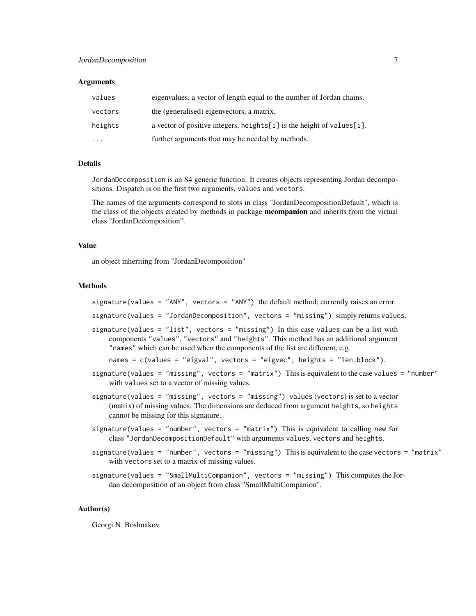# JordanDecomposition 7

# Arguments

| values    | eigenvalues, a vector of length equal to the number of Jordan chains. |
|-----------|-----------------------------------------------------------------------|
| vectors   | the (generalised) eigenvectors, a matrix.                             |
| heights   | a vector of positive integers, heights[i] is the height of values[i]. |
| $\ddotsc$ | further arguments that may be needed by methods.                      |

# Details

JordanDecomposition is an S4 generic function. It creates objects representing Jordan decompositions. Dispatch is on the first two arguments, values and vectors.

The names of the arguments correspond to slots in class "JordanDecompositionDefault", which is the class of the objects created by methods in package **mcompanion** and inherits from the virtual class "JordanDecomposition".

### Value

an object inheriting from "JordanDecomposition"

# Methods

- signature(values = "ANY", vectors = "ANY") the default method; currently raises an error.
- signature(values = "JordanDecomposition", vectors = "missing") simply returns values.
- signature(values = "list", vectors = "missing") In this case values can be a list with components "values", "vectors" and "heights". This method has an additional argument "names" which can be used when the components of the list are different, e.g.

names = c(values = "eigval", vectors = "eigvec", heights = "len.block").

- signature(values = "missing", vectors = "matrix") This is equivalent to the case values = "number" with values set to a vector of missing values.
- signature(values = "missing", vectors = "missing") values (vectors) is set to a vector (matrix) of missing values. The dimensions are deduced from argument heights, so heights cannot be missing for this signature.
- signature(values = "number", vectors = "matrix") This is equivalent to calling new for class "JordanDecompositionDefault" with arguments values, vectors and heights.
- signature(values = "number", vectors = "missing") This is equivalent to the case vectors = "matrix" with vectors set to a matrix of missing values.
- signature(values = "SmallMultiCompanion", vectors = "missing") This computes the Jordan decomposition of an object from class "SmallMultiCompanion".

# Author(s)

Georgi N. Boshnakov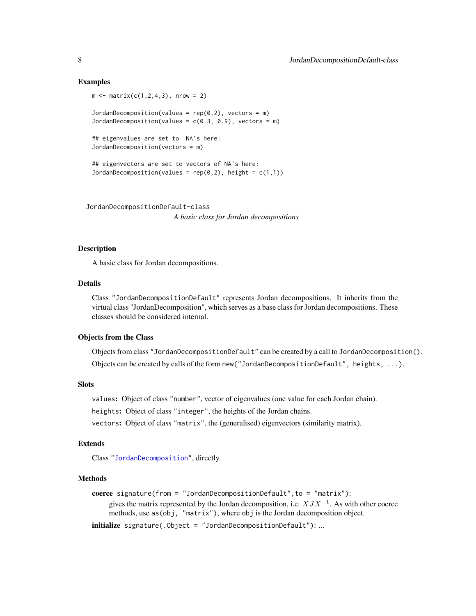# Examples

```
m \le - matrix(c(1,2,4,3), nrow = 2)
Jordan Decomposition(value = rep(0, 2), vectors = m)JordanDecomposition(values = c(0.3, 0.9), vectors = m)
## eigenvalues are set to NA's here:
JordanDecomposition(vectors = m)
## eigenvectors are set to vectors of NA's here:
JordanDecomposition(values = rep(0,2), height = c(1,1))
```
JordanDecompositionDefault-class

*A basic class for Jordan decompositions*

# <span id="page-7-1"></span>Description

A basic class for Jordan decompositions.

#### Details

Class "JordanDecompositionDefault" represents Jordan decompositions. It inherits from the virtual class "JordanDecomposition", which serves as a base class for Jordan decompositions. These classes should be considered internal.

# Objects from the Class

Objects from class "JordanDecompositionDefault" can be created by a call to JordanDecomposition(). Objects can be created by calls of the form new("JordanDecompositionDefault", heights, ...).

# **Slots**

values: Object of class "number", vector of eigenvalues (one value for each Jordan chain).

heights: Object of class "integer", the heights of the Jordan chains.

vectors: Object of class "matrix", the (generalised) eigenvectors (similarity matrix).

# Extends

Class ["JordanDecomposition"](#page-7-1), directly.

# Methods

coerce signature(from = "JordanDecompositionDefault",to = "matrix"): gives the matrix represented by the Jordan decomposition, i.e.  $XJX^{-1}$ . As with other coerce methods, use as(obj, "matrix"), where obj is the Jordan decomposition object.

initialize signature(.Object = "JordanDecompositionDefault"): ...

<span id="page-7-0"></span>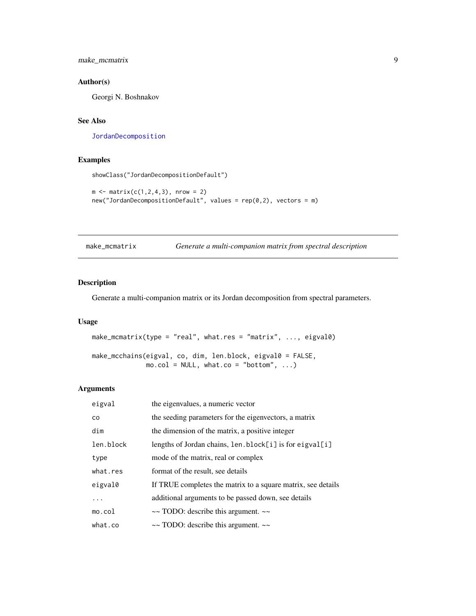# <span id="page-8-0"></span>make\_mcmatrix 9

# Author(s)

Georgi N. Boshnakov

# See Also

[JordanDecomposition](#page-5-1)

# Examples

```
showClass("JordanDecompositionDefault")
```

```
m \le - matrix(c(1,2,4,3), nrow = 2)
new("JordanDecompositionDefault", values = rep(0,2), vectors = m)
```
<span id="page-8-1"></span>

| make_mcmatrix |  | Generate a multi-companion matrix from spectral description |  |  |
|---------------|--|-------------------------------------------------------------|--|--|
|               |  |                                                             |  |  |

# Description

Generate a multi-companion matrix or its Jordan decomposition from spectral parameters.

# Usage

```
make_mcmatrix(type = "real", what.res = "matrix", ..., eigval0)
make_mcchains(eigval, co, dim, len.block, eigval0 = FALSE,
             mo.col = NULL, what.co = "bottom", ...)
```
# Arguments

| eigval    | the eigenvalues, a numeric vector                            |
|-----------|--------------------------------------------------------------|
| <b>CO</b> | the seeding parameters for the eigenvectors, a matrix        |
| dim       | the dimension of the matrix, a positive integer              |
| len.block | lengths of Jordan chains, len.block[i] is for eigval[i]      |
| type      | mode of the matrix, real or complex                          |
| what.res  | format of the result, see details                            |
| eigval0   | If TRUE completes the matrix to a square matrix, see details |
| .         | additional arguments to be passed down, see details          |
| mo.col    | $\sim$ TODO: describe this argument. $\sim$                  |
| what.co   | $\sim$ TODO: describe this argument. $\sim$                  |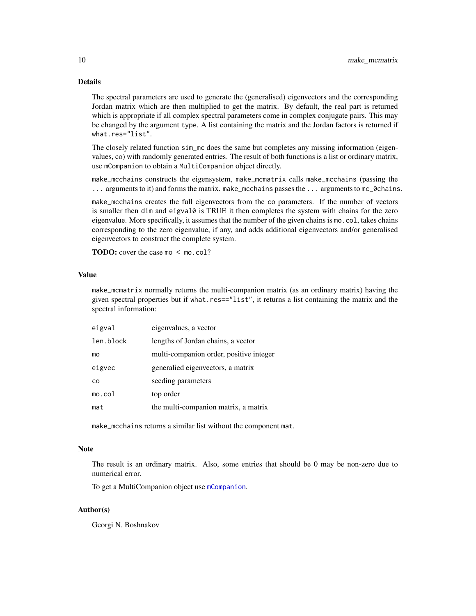# <span id="page-9-0"></span>Details

The spectral parameters are used to generate the (generalised) eigenvectors and the corresponding Jordan matrix which are then multiplied to get the matrix. By default, the real part is returned which is appropriate if all complex spectral parameters come in complex conjugate pairs. This may be changed by the argument type. A list containing the matrix and the Jordan factors is returned if what.res="list".

The closely related function sim\_mc does the same but completes any missing information (eigenvalues, co) with randomly generated entries. The result of both functions is a list or ordinary matrix, use mCompanion to obtain a MultiCompanion object directly.

make\_mcchains constructs the eigensystem, make\_mcmatrix calls make\_mcchains (passing the ... arguments to it) and forms the matrix. make\_mcchains passes the ... arguments to mc\_0chains.

make\_mcchains creates the full eigenvectors from the co parameters. If the number of vectors is smaller then dim and eigval0 is TRUE it then completes the system with chains for the zero eigenvalue. More specifically, it assumes that the number of the given chains is mo.col, takes chains corresponding to the zero eigenvalue, if any, and adds additional eigenvectors and/or generalised eigenvectors to construct the complete system.

TODO: cover the case mo < mo.col?

# Value

make\_mcmatrix normally returns the multi-companion matrix (as an ordinary matrix) having the given spectral properties but if what.res=="list", it returns a list containing the matrix and the spectral information:

| eigval    | eigenvalues, a vector                   |
|-----------|-----------------------------------------|
| len.block | lengths of Jordan chains, a vector      |
| mo        | multi-companion order, positive integer |
| eigvec    | generalied eigenvectors, a matrix       |
| CO        | seeding parameters                      |
| mo.col    | top order                               |
| mat       | the multi-companion matrix, a matrix    |

make\_mcchains returns a similar list without the component mat.

# Note

The result is an ordinary matrix. Also, some entries that should be 0 may be non-zero due to numerical error.

To get a MultiCompanion object use [mCompanion](#page-10-1).

# Author(s)

Georgi N. Boshnakov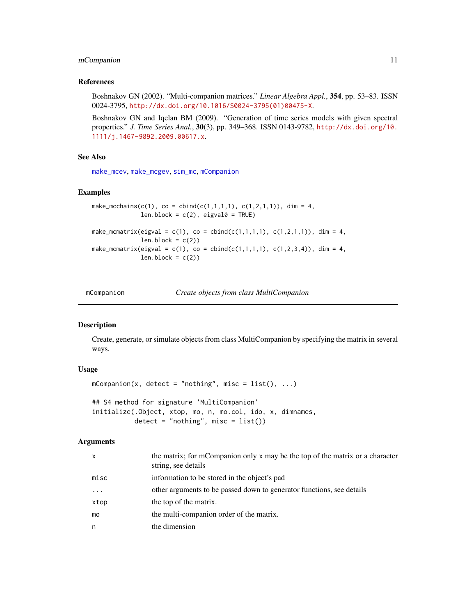# <span id="page-10-0"></span>mCompanion 11

# References

Boshnakov GN (2002). "Multi-companion matrices." *Linear Algebra Appl.*, 354, pp. 53–83. ISSN 0024-3795, [http://dx.doi.org/10.1016/S0024-3795\(01\)00475-X](http://dx.doi.org/10.1016/S0024-3795(01)00475-X).

Boshnakov GN and Iqelan BM (2009). "Generation of time series models with given spectral properties." *J. Time Series Anal.*, 30(3), pp. 349–368. ISSN 0143-9782, [http://dx.doi.org/10.](http://dx.doi.org/10.1111/j.1467-9892.2009.00617.x) [1111/j.1467-9892.2009.00617.x](http://dx.doi.org/10.1111/j.1467-9892.2009.00617.x).

# See Also

[make\\_mcev](#page-0-0), [make\\_mcgev](#page-0-0), [sim\\_mc](#page-37-1), [mCompanion](#page-10-1)

#### Examples

```
make_mcchains(c(1), co = cbind(c(1,1,1,1), c(1,2,1,1)), dim = 4,
             len.block = c(2), eigval0 = TRUE)
make_mcmatrix(eigval = c(1), co = cbind(c(1,1,1,1), c(1,2,1,1)), dim = 4,
             len.block = c(2)make_mcmatrix(eigval = c(1), co = cbind(c(1,1,1,1), c(1,2,3,4)), dim = 4,
```

```
len.block = c(2)
```
<span id="page-10-1"></span>

| mCompanion |  |
|------------|--|
|------------|--|

mCompanion *Create objects from class MultiCompanion*

# Description

Create, generate, or simulate objects from class MultiCompanion by specifying the matrix in several ways.

#### Usage

```
mCommon(x, detect = "nothing", miss = list(), ...)## S4 method for signature 'MultiCompanion'
initialize(.Object, xtop, mo, n, mo.col, ido, x, dimnames,
           \text{detect} = "nothing", \text{misc} = \text{list}()
```
#### Arguments

| $\mathsf{x}$ | the matrix; for mCompanion only x may be the top of the matrix or a character<br>string, see details |
|--------------|------------------------------------------------------------------------------------------------------|
| misc         | information to be stored in the object's pad                                                         |
| $\ddotsc$    | other arguments to be passed down to generator functions, see details                                |
| xtop         | the top of the matrix.                                                                               |
| mo           | the multi-companion order of the matrix.                                                             |
| n            | the dimension                                                                                        |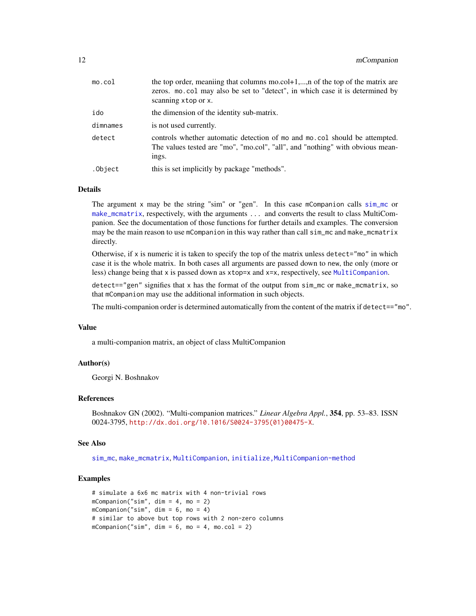<span id="page-11-0"></span>

| mo.col   | the top order, meaniing that columns mo.col+1,, n of the top of the matrix are<br>zeros. mo. col may also be set to "detect", in which case it is determined by<br>scanning xtop or x. |
|----------|----------------------------------------------------------------------------------------------------------------------------------------------------------------------------------------|
| ido      | the dimension of the identity sub-matrix.                                                                                                                                              |
| dimnames | is not used currently.                                                                                                                                                                 |
| detect   | controls whether automatic detection of mo and mo.col should be attempted.<br>The values tested are "mo", "mo.col", "all", and "nothing" with obvious mean-<br>ings.                   |
| .Object  | this is set implicitly by package "methods".                                                                                                                                           |
|          |                                                                                                                                                                                        |

# Details

The argument x may be the string "sim" or "gen". In this case mCompanion calls  $\sin$  mc or [make\\_mcmatrix](#page-8-1), respectively, with the arguments ... and converts the result to class MultiCompanion. See the documentation of those functions for further details and examples. The conversion may be the main reason to use mCompanion in this way rather than call sim\_mc and make\_mcmatrix directly.

Otherwise, if x is numeric it is taken to specify the top of the matrix unless detect="mo" in which case it is the whole matrix. In both cases all arguments are passed down to new, the only (more or less) change being that x is passed down as xtop=x and x=x, respectively, see [MultiCompanion](#page-29-1).

detect=="gen" signifies that x has the format of the output from  $sim\_m$  or make\_mcmatrix, so that mCompanion may use the additional information in such objects.

The multi-companion order is determined automatically from the content of the matrix if detect=="mo".

#### Value

a multi-companion matrix, an object of class MultiCompanion

# Author(s)

Georgi N. Boshnakov

# References

Boshnakov GN (2002). "Multi-companion matrices." *Linear Algebra Appl.*, 354, pp. 53–83. ISSN 0024-3795, [http://dx.doi.org/10.1016/S0024-3795\(01\)00475-X](http://dx.doi.org/10.1016/S0024-3795(01)00475-X).

#### See Also

[sim\\_mc](#page-37-1), [make\\_mcmatrix](#page-8-1), [MultiCompanion](#page-29-1), [initialize,MultiCompanion-method](#page-0-0)

# Examples

```
# simulate a 6x6 mc matrix with 4 non-trivial rows
mComparison("sim", dim = 4, mo = 2)mComparison("sim", dim = 6, mo = 4)# similar to above but top rows with 2 non-zero columns
mCompanion("sim", dim = 6, mo = 4, mo,col = 2)
```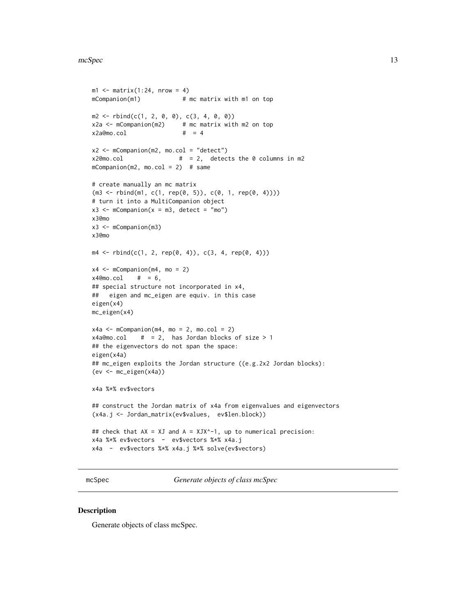#### <span id="page-12-0"></span>mcSpec 13

```
ml \leq matrix(1:24, nrow = 4)mCompanion(m1) # mc matrix with m1 on top
m2 \le -rbind(c(1, 2, 0, 0), c(3, 4, 0, 0))x2a \leq mCompanion(m2) # mc matrix with m2 on top
x2a@mo.col # = 4
x2 \leq -mCompanion(m2, mo.col = "detect")
x2@mo.col # = 2, detects the 0 columns in m2
mComparison(m2, mo,col = 2) # same
# create manually an mc matrix
(m3 <- rbind(m1, c(1, rep(0, 5)), c(0, 1, rep(0, 4))))
# turn it into a MultiCompanion object
x3 \leq mCompanion(x = m3, detect = "mo")
x3@mo
x3 <- mCompanion(m3)
x3@mo
m4 \leq r \, bin(d(c(1, 2, rep(0, 4)), c(3, 4, rep(0, 4)))x4 \leq mCompanion(m4, mo = 2)
x4@mo.col # = 6,
## special structure not incorporated in x4,
## eigen and mc_eigen are equiv. in this case
eigen(x4)
mc_eigen(x4)
x4a \leftarrow mComparison(m4, mo = 2, mo,col = 2)x4a@mo.col # = 2, has Jordan blocks of size > 1
## the eigenvectors do not span the space:
eigen(x4a)
## mc_eigen exploits the Jordan structure ((e.g.2x2 Jordan blocks):
(ev <- mc_eigen(x4a))
x4a %*% ev$vectors
## construct the Jordan matrix of x4a from eigenvalues and eigenvectors
(x4a.j <- Jordan_matrix(ev$values, ev$len.block))
## check that AX = XJ and A = XJX^-1, up to numerical precision:
x4a %*% ev$vectors - ev$vectors %*% x4a.j
x4a - ev$vectors %*% x4a.j %*% solve(ev$vectors)
```
<span id="page-12-1"></span>mcSpec *Generate objects of class mcSpec*

#### Description

Generate objects of class mcSpec.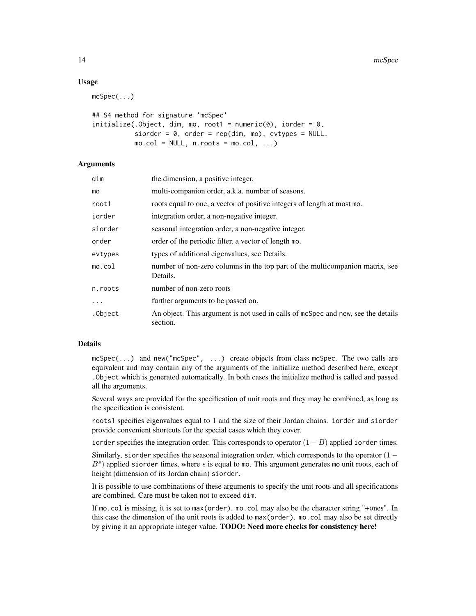# Usage

```
mcSpec(...)
```

```
## S4 method for signature 'mcSpec'
initialize(.Object, dim, mo, root1 = numeric(0), iorder = 0,siorder = 0, order = rep(dim, mo), evtypes = NULL,
          mo.col = NULL, n.roots = mo.col, ...)
```
# **Arguments**

| dim     | the dimension, a positive integer.                                                           |
|---------|----------------------------------------------------------------------------------------------|
| mo      | multi-companion order, a.k.a. number of seasons.                                             |
| root1   | roots equal to one, a vector of positive integers of length at most mo.                      |
| iorder  | integration order, a non-negative integer.                                                   |
| siorder | seasonal integration order, a non-negative integer.                                          |
| order   | order of the periodic filter, a vector of length mo.                                         |
| evtypes | types of additional eigenvalues, see Details.                                                |
| mo.col  | number of non-zero columns in the top part of the multicompanion matrix, see<br>Details.     |
| n.roots | number of non-zero roots                                                                     |
| .       | further arguments to be passed on.                                                           |
| .Object | An object. This argument is not used in calls of mcSpec and new, see the details<br>section. |

# Details

mcSpec(...) and new("mcSpec", ...) create objects from class mcSpec. The two calls are equivalent and may contain any of the arguments of the initialize method described here, except .Object which is generated automatically. In both cases the initialize method is called and passed all the arguments.

Several ways are provided for the specification of unit roots and they may be combined, as long as the specification is consistent.

roots1 specifies eigenvalues equal to 1 and the size of their Jordan chains. iorder and siorder provide convenient shortcuts for the special cases which they cover.

iorder specifies the integration order. This corresponds to operator  $(1 - B)$  applied iorder times.

Similarly, siorder specifies the seasonal integration order, which corresponds to the operator  $(1 B<sup>s</sup>$ ) applied siorder times, where s is equal to mo. This argument generates mo unit roots, each of height (dimension of its Jordan chain) siorder.

It is possible to use combinations of these arguments to specify the unit roots and all specifications are combined. Care must be taken not to exceed dim.

If mo.col is missing, it is set to max(order). mo.col may also be the character string "+ones". In this case the dimension of the unit roots is added to max(order). mo.col may also be set directly by giving it an appropriate integer value. **TODO: Need more checks for consistency here!**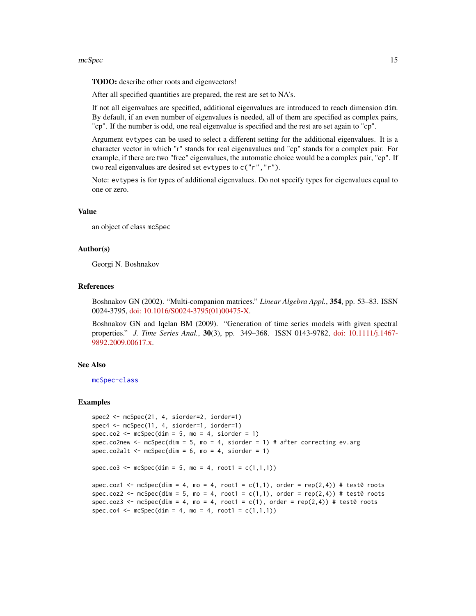#### mcSpec 15

TODO: describe other roots and eigenvectors!

After all specified quantities are prepared, the rest are set to NA's.

If not all eigenvalues are specified, additional eigenvalues are introduced to reach dimension dim. By default, if an even number of eigenvalues is needed, all of them are specified as complex pairs, "cp". If the number is odd, one real eigenvalue is specified and the rest are set again to "cp".

Argument evtypes can be used to select a different setting for the additional eigenvalues. It is a character vector in which "r" stands for real eigenavalues and "cp" stands for a complex pair. For example, if there are two "free" eigenvalues, the automatic choice would be a complex pair, "cp". If two real eigenvalues are desired set evtypes to c("r","r").

Note: evtypes is for types of additional eigenvalues. Do not specify types for eigenvalues equal to one or zero.

#### Value

an object of class mcSpec

# Author(s)

Georgi N. Boshnakov

# References

Boshnakov GN (2002). "Multi-companion matrices." *Linear Algebra Appl.*, 354, pp. 53–83. ISSN 0024-3795, [doi: 10.1016/S0024-3795\(01\)00475-X.](http://doi.org/10.1016/S0024-3795(01)00475-X)

Boshnakov GN and Iqelan BM (2009). "Generation of time series models with given spectral properties." *J. Time Series Anal.*, 30(3), pp. 349–368. ISSN 0143-9782, [doi: 10.1111/j.1467-](http://doi.org/10.1111/j.1467-9892.2009.00617.x) [9892.2009.00617.x.](http://doi.org/10.1111/j.1467-9892.2009.00617.x)

#### See Also

[mcSpec-class](#page-15-1)

# Examples

```
spec2 <- mcSpec(21, 4, siorder=2, iorder=1)
spec4 <- mcSpec(11, 4, siorder=1, iorder=1)
spec.co2 \leq mcSpec(dim = 5, mo = 4, siorder = 1)spec.co2new \leq mcSpec(dim = 5, mo = 4, siorder = 1) # after correcting ev.arg
spec.co2alt \leq mcSpec(dim = 6, mo = 4, siorder = 1)
```
 $spec.co3 \leq mcSpec(dim = 5, mo = 4, root1 = c(1,1,1))$ 

```
spec.coz1 <- mcSpec(dim = 4, mo = 4, root1 = c(1,1), order = rep(2,4)) # test0 roots
spec.coz2 <- mcSpec(dim = 5, mo = 4, root1 = c(1,1), order = rep(2,4)) # test0 roots
spec.coz3 <- mcSpec(dim = 4, mo = 4, root1 = c(1), order = rep(2,4)) # test0 roots
spec.co4 \leq mcSpec(dim = 4, mo = 4, root1 = c(1,1,1))
```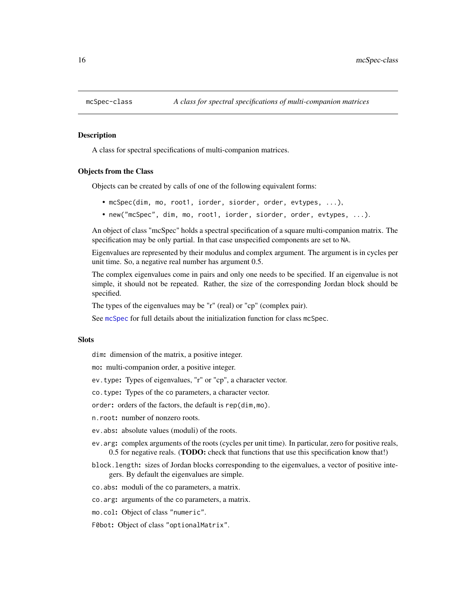<span id="page-15-1"></span><span id="page-15-0"></span>

#### Description

A class for spectral specifications of multi-companion matrices.

# Objects from the Class

Objects can be created by calls of one of the following equivalent forms:

- mcSpec(dim, mo, root1, iorder, siorder, order, evtypes, ...),
- new("mcSpec", dim, mo, root1, iorder, siorder, order, evtypes, ...).

An object of class "mcSpec" holds a spectral specification of a square multi-companion matrix. The specification may be only partial. In that case unspecified components are set to NA.

Eigenvalues are represented by their modulus and complex argument. The argument is in cycles per unit time. So, a negative real number has argument 0.5.

The complex eigenvalues come in pairs and only one needs to be specified. If an eigenvalue is not simple, it should not be repeated. Rather, the size of the corresponding Jordan block should be specified.

The types of the eigenvalues may be "r" (real) or "cp" (complex pair).

See [mcSpec](#page-12-1) for full details about the initialization function for class mcSpec.

#### **Slots**

dim: dimension of the matrix, a positive integer.

mo: multi-companion order, a positive integer.

ev.type: Types of eigenvalues, "r" or "cp", a character vector.

co.type: Types of the co parameters, a character vector.

order: orders of the factors, the default is rep(dim,mo).

n.root: number of nonzero roots.

- ev.abs: absolute values (moduli) of the roots.
- ev.arg: complex arguments of the roots (cycles per unit time). In particular, zero for positive reals, 0.5 for negative reals. (TODO: check that functions that use this specification know that!)
- block.length: sizes of Jordan blocks corresponding to the eigenvalues, a vector of positive integers. By default the eigenvalues are simple.
- co.abs: moduli of the co parameters, a matrix.
- co.arg: arguments of the co parameters, a matrix.
- mo.col: Object of class "numeric".
- F0bot: Object of class "optionalMatrix".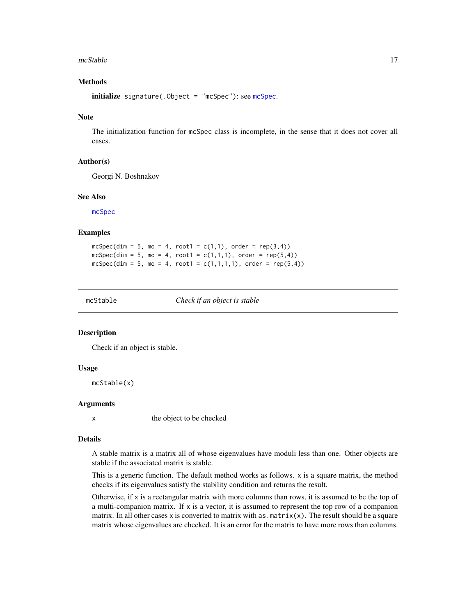#### <span id="page-16-0"></span>mcStable 17

# Methods

initialize signature(.Object = "mcSpec"): see [mcSpec](#page-12-1).

# Note

The initialization function for mcSpec class is incomplete, in the sense that it does not cover all cases.

# Author(s)

Georgi N. Boshnakov

# See Also

[mcSpec](#page-12-1)

#### Examples

mcSpec(dim = 5, mo = 4, root1 =  $c(1,1)$ , order = rep(3,4))  $mcSpec$ (dim = 5, mo = 4, root1 = c(1,1,1), order = rep(5,4))  $mcSpec(dim = 5, mo = 4, root1 = c(1,1,1,1), order = rep(5,4))$ 

<span id="page-16-1"></span>mcStable *Check if an object is stable*

# **Description**

Check if an object is stable.

# Usage

mcStable(x)

# Arguments

x the object to be checked

#### Details

A stable matrix is a matrix all of whose eigenvalues have moduli less than one. Other objects are stable if the associated matrix is stable.

This is a generic function. The default method works as follows. x is a square matrix, the method checks if its eigenvalues satisfy the stability condition and returns the result.

Otherwise, if x is a rectangular matrix with more columns than rows, it is assumed to be the top of a multi-companion matrix. If  $x$  is a vector, it is assumed to represent the top row of a companion matrix. In all other cases x is converted to matrix with as  $\text{matrix}(x)$ . The result should be a square matrix whose eigenvalues are checked. It is an error for the matrix to have more rows than columns.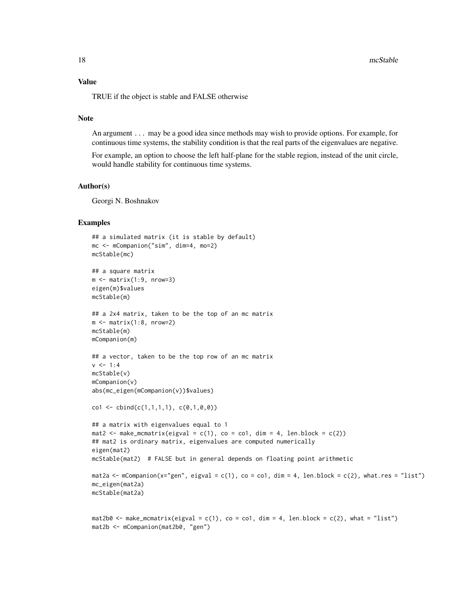TRUE if the object is stable and FALSE otherwise

#### Note

An argument ... may be a good idea since methods may wish to provide options. For example, for continuous time systems, the stability condition is that the real parts of the eigenvalues are negative.

For example, an option to choose the left half-plane for the stable region, instead of the unit circle, would handle stability for continuous time systems.

#### Author(s)

Georgi N. Boshnakov

# Examples

```
## a simulated matrix (it is stable by default)
mc <- mCompanion("sim", dim=4, mo=2)
mcStable(mc)
## a square matrix
m \le - matrix(1:9, nrow=3)
eigen(m)$values
mcStable(m)
## a 2x4 matrix, taken to be the top of an mc matrix
m \le - matrix(1:8, nrow=2)
mcStable(m)
mCompanion(m)
## a vector, taken to be the top row of an mc matrix
v \le -1:4mcStable(v)
mCompanion(v)
abs(mc_eigen(mCompanion(v))$values)
co1 <- cbind(c(1,1,1,1), c(0,1,0,0))
## a matrix with eigenvalues equal to 1
mat2 \leq make_mcmatrix(eigval = c(1), co = co1, dim = 4, len.block = c(2))
## mat2 is ordinary matrix, eigenvalues are computed numerically
eigen(mat2)
mcStable(mat2) # FALSE but in general depends on floating point arithmetic
mat2a <- mCompanion(x="gen", eigval = c(1), co = co1, dim = 4, len.block = c(2), what.res = "list")
mc_eigen(mat2a)
mcStable(mat2a)
\text{mat2b0} \leftarrow \text{make\_mematrix}(\text{eigval} = c(1), \text{co} = \text{co1}, \text{dim} = 4, \text{len}.\text{block} = c(2), \text{what} = "list")
```

```
mat2b <- mCompanion(mat2b0, "gen")
```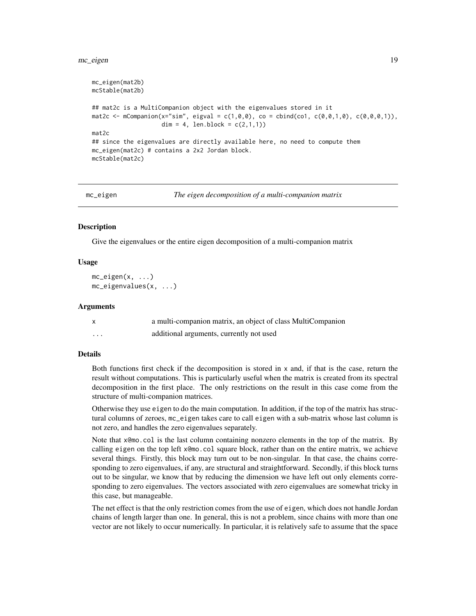#### <span id="page-18-0"></span>mc\_eigen 19

```
mc_eigen(mat2b)
mcStable(mat2b)
## mat2c is a MultiCompanion object with the eigenvalues stored in it
\text{mat2c} \leq \text{mCompanion}(x='sim", \text{eigval} = c(1, 0, 0), \text{co} = \text{cbind}(co1, c(0, 0, 1, 0), c(0, 0, 0, 1)),dim = 4, len.block = c(2,1,1))
mat2c
## since the eigenvalues are directly available here, no need to compute them
mc_eigen(mat2c) # contains a 2x2 Jordan block.
mcStable(mat2c)
```
mc\_eigen *The eigen decomposition of a multi-companion matrix*

# Description

Give the eigenvalues or the entire eigen decomposition of a multi-companion matrix

#### Usage

```
mc_eigen(x, \ldots)mc_eigenvalues(x, ...)
```
#### Arguments

|   | a multi-companion matrix, an object of class MultiCompanion |
|---|-------------------------------------------------------------|
| . | additional arguments, currently not used                    |

# Details

Both functions first check if the decomposition is stored in  $x$  and, if that is the case, return the result without computations. This is particularly useful when the matrix is created from its spectral decomposition in the first place. The only restrictions on the result in this case come from the structure of multi-companion matrices.

Otherwise they use eigen to do the main computation. In addition, if the top of the matrix has structural columns of zeroes, mc\_eigen takes care to call eigen with a sub-matrix whose last column is not zero, and handles the zero eigenvalues separately.

Note that x@mo.col is the last column containing nonzero elements in the top of the matrix. By calling eigen on the top left x@mo.col square block, rather than on the entire matrix, we achieve several things. Firstly, this block may turn out to be non-singular. In that case, the chains corresponding to zero eigenvalues, if any, are structural and straightforward. Secondly, if this block turns out to be singular, we know that by reducing the dimension we have left out only elements corresponding to zero eigenvalues. The vectors associated with zero eigenvalues are somewhat tricky in this case, but manageable.

The net effect is that the only restriction comes from the use of eigen, which does not handle Jordan chains of length larger than one. In general, this is not a problem, since chains with more than one vector are not likely to occur numerically. In particular, it is relatively safe to assume that the space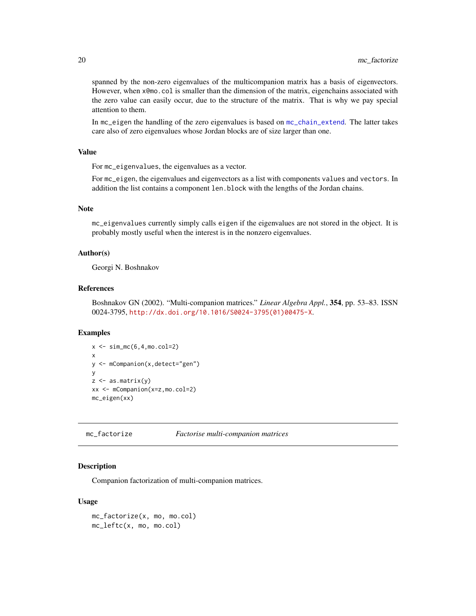spanned by the non-zero eigenvalues of the multicompanion matrix has a basis of eigenvectors. However, when x@mo.col is smaller than the dimension of the matrix, eigenchains associated with the zero value can easily occur, due to the structure of the matrix. That is why we pay special attention to them.

In mc\_eigen the handling of the zero eigenvalues is based on [mc\\_chain\\_extend](#page-0-0). The latter takes care also of zero eigenvalues whose Jordan blocks are of size larger than one.

# Value

For mc\_eigenvalues, the eigenvalues as a vector.

For mc\_eigen, the eigenvalues and eigenvectors as a list with components values and vectors. In addition the list contains a component len.block with the lengths of the Jordan chains.

# Note

mc\_eigenvalues currently simply calls eigen if the eigenvalues are not stored in the object. It is probably mostly useful when the interest is in the nonzero eigenvalues.

# Author(s)

Georgi N. Boshnakov

# References

Boshnakov GN (2002). "Multi-companion matrices." *Linear Algebra Appl.*, 354, pp. 53–83. ISSN 0024-3795, [http://dx.doi.org/10.1016/S0024-3795\(01\)00475-X](http://dx.doi.org/10.1016/S0024-3795(01)00475-X).

# Examples

```
x \le -\sin(mc(6, 4, mc, col=2))x
y <- mCompanion(x,detect="gen")
y
z \leq -as.matrix(y)xx <- mCompanion(x=z,mo.col=2)
mc_eigen(xx)
```
<span id="page-19-1"></span>mc\_factorize *Factorise multi-companion matrices*

# Description

Companion factorization of multi-companion matrices.

# Usage

```
mc_factorize(x, mo, mo.col)
mc_leftc(x, mo, mo.col)
```
<span id="page-19-0"></span>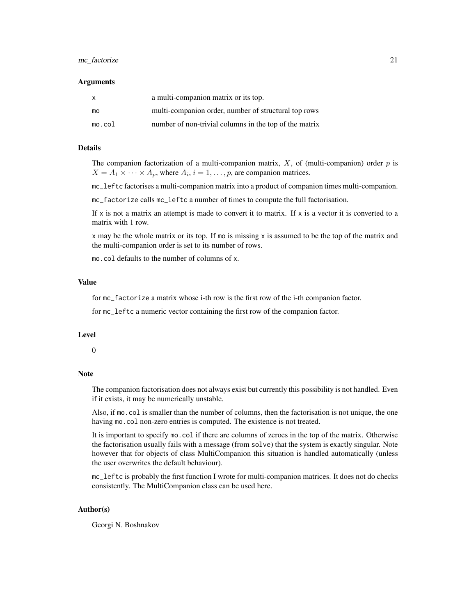#### mc\_factorize 21

#### Arguments

| x      | a multi-companion matrix or its top.                   |
|--------|--------------------------------------------------------|
| mo     | multi-companion order, number of structural top rows   |
| mo.co1 | number of non-trivial columns in the top of the matrix |

# Details

The companion factorization of a multi-companion matrix,  $X$ , of (multi-companion) order p is  $X = A_1 \times \cdots \times A_p$ , where  $A_i$ ,  $i = 1, \ldots, p$ , are companion matrices.

mc\_leftc factorises a multi-companion matrix into a product of companion times multi-companion.

mc\_factorize calls mc\_leftc a number of times to compute the full factorisation.

If  $x$  is not a matrix an attempt is made to convert it to matrix. If  $x$  is a vector it is converted to a matrix with 1 row.

x may be the whole matrix or its top. If mo is missing x is assumed to be the top of the matrix and the multi-companion order is set to its number of rows.

mo.col defaults to the number of columns of x.

# Value

for mc\_factorize a matrix whose i-th row is the first row of the i-th companion factor.

for mc\_leftc a numeric vector containing the first row of the companion factor.

#### Level

0

# Note

The companion factorisation does not always exist but currently this possibility is not handled. Even if it exists, it may be numerically unstable.

Also, if mo.col is smaller than the number of columns, then the factorisation is not unique, the one having mo.col non-zero entries is computed. The existence is not treated.

It is important to specify mo.col if there are columns of zeroes in the top of the matrix. Otherwise the factorisation usually fails with a message (from solve) that the system is exactly singular. Note however that for objects of class MultiCompanion this situation is handled automatically (unless the user overwrites the default behaviour).

mc\_leftc is probably the first function I wrote for multi-companion matrices. It does not do checks consistently. The MultiCompanion class can be used here.

# Author(s)

Georgi N. Boshnakov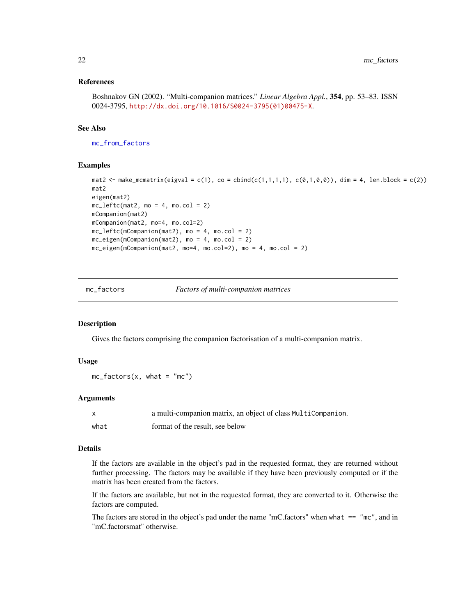# <span id="page-21-0"></span>References

```
Boshnakov GN (2002). "Multi-companion matrices." Linear Algebra Appl., 354, pp. 53–83. ISSN
0024-3795, http://dx.doi.org/10.1016/S0024-3795(01)00475-X.
```
# See Also

[mc\\_from\\_factors](#page-22-1)

# Examples

```
mat2 <- make_mcmatrix(eigval = c(1), co = cbind(c(1,1,1,1), c(0,1,0,0)), dim = 4, len.block = c(2))
mat2
eigen(mat2)
mc\_left(mat2, mo = 4, mo,col = 2)mCompanion(mat2)
mCompanion(mat2, mo=4, mo.col=2)
mc_leftc(mCompanion(mat2), mo = 4, mo.col = 2)
mc\_eigen(mCompanion(mat2), mo = 4, mo,col = 2)mc_eigen(mCompanion(mat2, mo=4, mo.col=2), mo = 4, mo.col = 2)
```
<span id="page-21-1"></span>

mc\_factors *Factors of multi-companion matrices*

#### Description

Gives the factors comprising the companion factorisation of a multi-companion matrix.

### Usage

 $mc_factors(x, what = "mc")$ 

# Arguments

| $\mathsf{x}$ | a multi-companion matrix, an object of class MultiCompanion. |
|--------------|--------------------------------------------------------------|
| what         | format of the result, see below                              |

# Details

If the factors are available in the object's pad in the requested format, they are returned without further processing. The factors may be available if they have been previously computed or if the matrix has been created from the factors.

If the factors are available, but not in the requested format, they are converted to it. Otherwise the factors are computed.

The factors are stored in the object's pad under the name "mC.factors" when what  $==$  "mc", and in "mC.factorsmat" otherwise.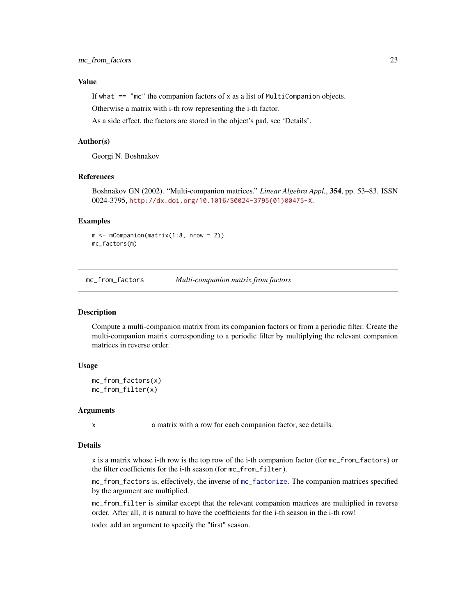# <span id="page-22-0"></span>Value

If what  $==$  "mc" the companion factors of x as a list of MultiCompanion objects.

Otherwise a matrix with i-th row representing the i-th factor.

As a side effect, the factors are stored in the object's pad, see 'Details'.

# Author(s)

Georgi N. Boshnakov

# References

Boshnakov GN (2002). "Multi-companion matrices." *Linear Algebra Appl.*, 354, pp. 53–83. ISSN 0024-3795, [http://dx.doi.org/10.1016/S0024-3795\(01\)00475-X](http://dx.doi.org/10.1016/S0024-3795(01)00475-X).

# Examples

m <- mCompanion(matrix(1:8, nrow = 2)) mc\_factors(m)

<span id="page-22-1"></span>mc\_from\_factors *Multi-companion matrix from factors*

#### Description

Compute a multi-companion matrix from its companion factors or from a periodic filter. Create the multi-companion matrix corresponding to a periodic filter by multiplying the relevant companion matrices in reverse order.

# Usage

mc\_from\_factors(x) mc\_from\_filter(x)

# Arguments

x a matrix with a row for each companion factor, see details.

#### Details

x is a matrix whose i-th row is the top row of the i-th companion factor (for mc\_from\_factors) or the filter coefficients for the i-th season (for mc\_from\_filter).

mc\_from\_factors is, effectively, the inverse of [mc\\_factorize](#page-19-1). The companion matrices specified by the argument are multiplied.

mc\_from\_filter is similar except that the relevant companion matrices are multiplied in reverse order. After all, it is natural to have the coefficients for the i-th season in the i-th row!

todo: add an argument to specify the "first" season.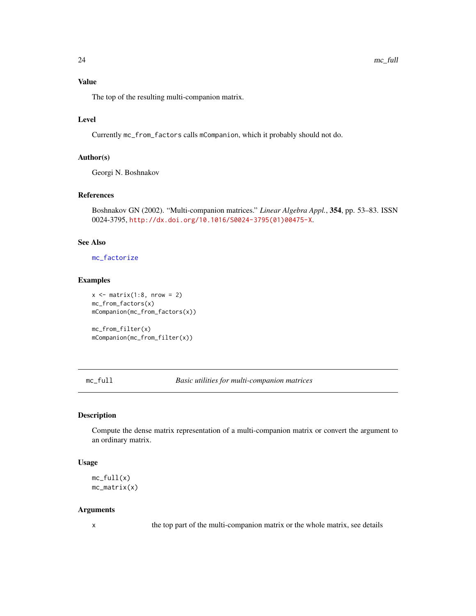# <span id="page-23-0"></span>Value

The top of the resulting multi-companion matrix.

# Level

Currently mc\_from\_factors calls mCompanion, which it probably should not do.

# Author(s)

Georgi N. Boshnakov

# References

Boshnakov GN (2002). "Multi-companion matrices." *Linear Algebra Appl.*, 354, pp. 53–83. ISSN 0024-3795, [http://dx.doi.org/10.1016/S0024-3795\(01\)00475-X](http://dx.doi.org/10.1016/S0024-3795(01)00475-X).

#### See Also

[mc\\_factorize](#page-19-1)

# Examples

```
x \leftarrow \text{matrix}(1:8, \text{ nrow} = 2)mc_from_factors(x)
mCompanion(mc_from_factors(x))
```

```
mc_from_filter(x)
mCompanion(mc_from_filter(x))
```
<span id="page-23-1"></span>mc\_full *Basic utilities for multi-companion matrices*

# Description

Compute the dense matrix representation of a multi-companion matrix or convert the argument to an ordinary matrix.

# Usage

```
mc_full(x)mc_matrix(x)
```
# Arguments

x the top part of the multi-companion matrix or the whole matrix, see details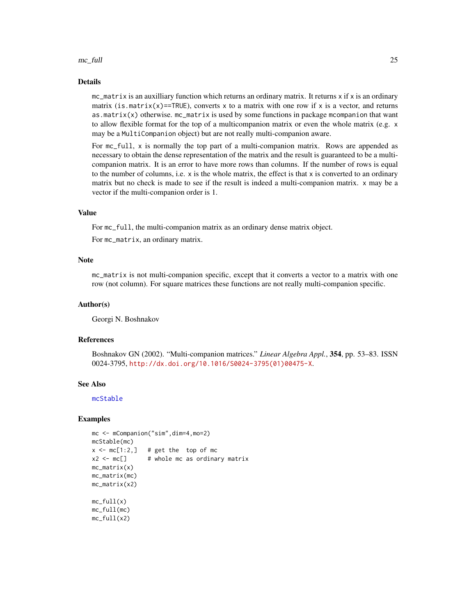#### <span id="page-24-0"></span> $mc\_full$  25

# Details

mc\_matrix is an auxilliary function which returns an ordinary matrix. It returns x if x is an ordinary matrix (is.matrix(x)==TRUE), converts x to a matrix with one row if x is a vector, and returns as.matrix(x) otherwise. mc\_matrix is used by some functions in package mcompanion that want to allow flexible format for the top of a multicompanion matrix or even the whole matrix (e.g. x may be a MultiCompanion object) but are not really multi-companion aware.

For mc\_full, x is normally the top part of a multi-companion matrix. Rows are appended as necessary to obtain the dense representation of the matrix and the result is guaranteed to be a multicompanion matrix. It is an error to have more rows than columns. If the number of rows is equal to the number of columns, i.e.  $x$  is the whole matrix, the effect is that  $x$  is converted to an ordinary matrix but no check is made to see if the result is indeed a multi-companion matrix. x may be a vector if the multi-companion order is 1.

# Value

For mc\_full, the multi-companion matrix as an ordinary dense matrix object.

For mc\_matrix, an ordinary matrix.

### Note

mc\_matrix is not multi-companion specific, except that it converts a vector to a matrix with one row (not column). For square matrices these functions are not really multi-companion specific.

# Author(s)

Georgi N. Boshnakov

#### References

Boshnakov GN (2002). "Multi-companion matrices." *Linear Algebra Appl.*, 354, pp. 53–83. ISSN 0024-3795, [http://dx.doi.org/10.1016/S0024-3795\(01\)00475-X](http://dx.doi.org/10.1016/S0024-3795(01)00475-X).

# See Also

[mcStable](#page-16-1)

## Examples

```
mc <- mCompanion("sim",dim=4,mo=2)
mcStable(mc)
x \leq mc[1:2,] # get the top of mc
x2 \leq -mc[] # whole mc as ordinary matrix
mc_matrix(x)
mc_matrix(mc)
mc_matrix(x2)
mc_full(x)mc_full(mc)
mc_full(x2)
```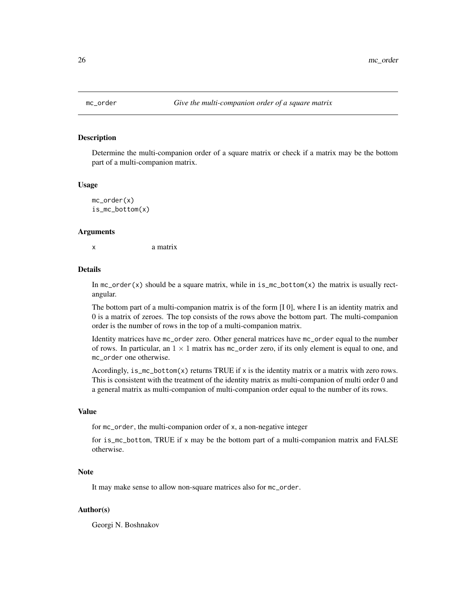<span id="page-25-0"></span>

# Description

Determine the multi-companion order of a square matrix or check if a matrix may be the bottom part of a multi-companion matrix.

#### Usage

```
mc_order(x)
is_mc_bottom(x)
```
#### Arguments

x a matrix

# Details

In  $mc\_order(x)$  should be a square matrix, while in is\_mc\_bottom(x) the matrix is usually rectangular.

The bottom part of a multi-companion matrix is of the form [I 0], where I is an identity matrix and 0 is a matrix of zeroes. The top consists of the rows above the bottom part. The multi-companion order is the number of rows in the top of a multi-companion matrix.

Identity matrices have mc\_order zero. Other general matrices have mc\_order equal to the number of rows. In particular, an  $1 \times 1$  matrix has mc\_order zero, if its only element is equal to one, and mc\_order one otherwise.

Acordingly, is\_mc\_bottom(x) returns TRUE if  $x$  is the identity matrix or a matrix with zero rows. This is consistent with the treatment of the identity matrix as multi-companion of multi order 0 and a general matrix as multi-companion of multi-companion order equal to the number of its rows.

# Value

for mc\_order, the multi-companion order of x, a non-negative integer

for is\_mc\_bottom, TRUE if x may be the bottom part of a multi-companion matrix and FALSE otherwise.

#### **Note**

It may make sense to allow non-square matrices also for mc\_order.

#### Author(s)

Georgi N. Boshnakov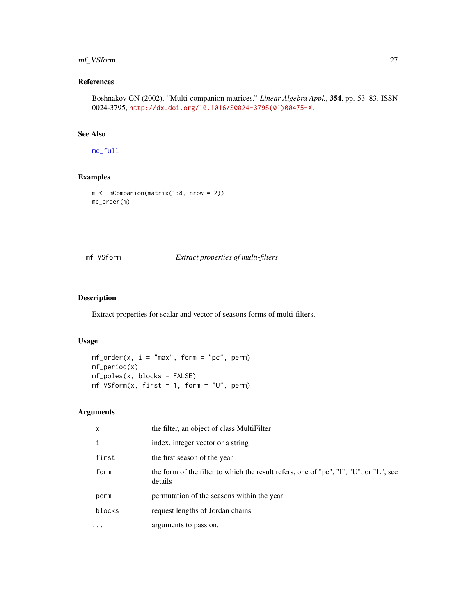# <span id="page-26-0"></span>mf\_VSform 27

# References

Boshnakov GN (2002). "Multi-companion matrices." *Linear Algebra Appl.*, 354, pp. 53–83. ISSN 0024-3795, [http://dx.doi.org/10.1016/S0024-3795\(01\)00475-X](http://dx.doi.org/10.1016/S0024-3795(01)00475-X).

# See Also

[mc\\_full](#page-23-1)

# Examples

```
m \le mCompanion(matrix(1:8, nrow = 2))
mc_order(m)
```
# <span id="page-26-1"></span>mf\_VSform *Extract properties of multi-filters*

# <span id="page-26-2"></span>Description

Extract properties for scalar and vector of seasons forms of multi-filters.

# Usage

 $mf\_order(x, i = "max", form = "pc", perm)$ mf\_period(x) mf\_poles(x, blocks = FALSE)  $mf_VSform(x, first = 1, form = "U", perm)$ 

# Arguments

| X        | the filter, an object of class MultiFilter                                                       |
|----------|--------------------------------------------------------------------------------------------------|
|          | index, integer vector or a string                                                                |
| first    | the first season of the year                                                                     |
| form     | the form of the filter to which the result refers, one of "pc", "I", "U", or "L", see<br>details |
| perm     | permutation of the seasons within the year                                                       |
| blocks   | request lengths of Jordan chains                                                                 |
| $\cdots$ | arguments to pass on.                                                                            |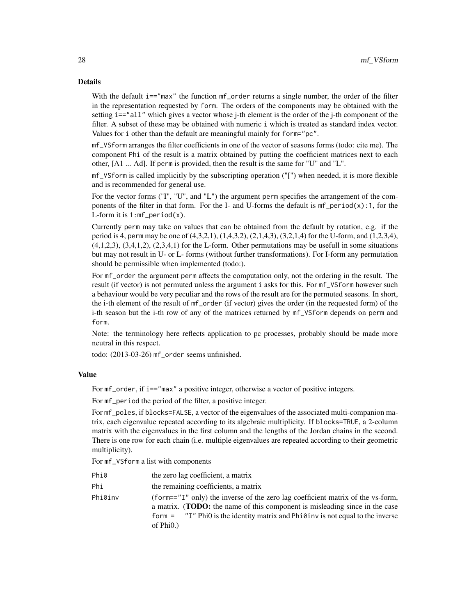# Details

With the default  $i == "max"$  the function  $mf<sub>o</sub>$  returns a single number, the order of the filter in the representation requested by form. The orders of the components may be obtained with the setting i=="all" which gives a vector whose j-th element is the order of the j-th component of the filter. A subset of these may be obtained with numeric i which is treated as standard index vector. Values for i other than the default are meaningful mainly for form="pc".

mf\_VSform arranges the filter coefficients in one of the vector of seasons forms (todo: cite me). The component Phi of the result is a matrix obtained by putting the coefficient matrices next to each other, [A1 ... Ad]. If perm is provided, then the result is the same for "U" and "L".

mf\_VSform is called implicitly by the subscripting operation ("[") when needed, it is more flexible and is recommended for general use.

For the vector forms ("I", "U", and "L") the argument perm specifies the arrangement of the components of the filter in that form. For the I- and U-forms the default is  $mf\_period(x)$ :1, for the L-form it is  $1:mf\_period(x)$ .

Currently perm may take on values that can be obtained from the default by rotation, e.g. if the period is 4, perm may be one of  $(4,3,2,1)$ ,  $(1,4,3,2)$ ,  $(2,1,4,3)$ ,  $(3,2,1,4)$  for the U-form, and  $(1,2,3,4)$ ,  $(4,1,2,3)$ ,  $(3,4,1,2)$ ,  $(2,3,4,1)$  for the L-form. Other permutations may be usefull in some situations but may not result in U- or L- forms (without further transformations). For I-form any permutation should be permissible when implemented (todo:).

For mf\_order the argument perm affects the computation only, not the ordering in the result. The result (if vector) is not permuted unless the argument i asks for this. For mf\_VSform however such a behaviour would be very peculiar and the rows of the result are for the permuted seasons. In short, the i-th element of the result of mf\_order (if vector) gives the order (in the requested form) of the i-th season but the i-th row of any of the matrices returned by mf\_VSform depends on perm and form.

Note: the terminology here reflects application to pc processes, probably should be made more neutral in this respect.

todo: (2013-03-26) mf\_order seems unfinished.

#### Value

For  $mf<sub>-</sub>order$ , if  $i== "max"$  a positive integer, otherwise a vector of positive integers.

For mf\_period the period of the filter, a positive integer.

For mf\_poles, if blocks=FALSE, a vector of the eigenvalues of the associated multi-companion matrix, each eigenvalue repeated according to its algebraic multiplicity. If blocks=TRUE, a 2-column matrix with the eigenvalues in the first column and the lengths of the Jordan chains in the second. There is one row for each chain (i.e. multiple eigenvalues are repeated according to their geometric multiplicity).

For mf\_VSform a list with components

|  | Phi0 | the zero lag coefficient, a matrix |
|--|------|------------------------------------|
|--|------|------------------------------------|

Phi the remaining coefficients, a matrix

Phi0inv (form=="I" only) the inverse of the zero lag coefficient matrix of the vs-form, a matrix. (TODO: the name of this component is misleading since in the case form  $=$  "I" Phi0 is the identity matrix and Phi0inv is not equal to the inverse of Phi0.)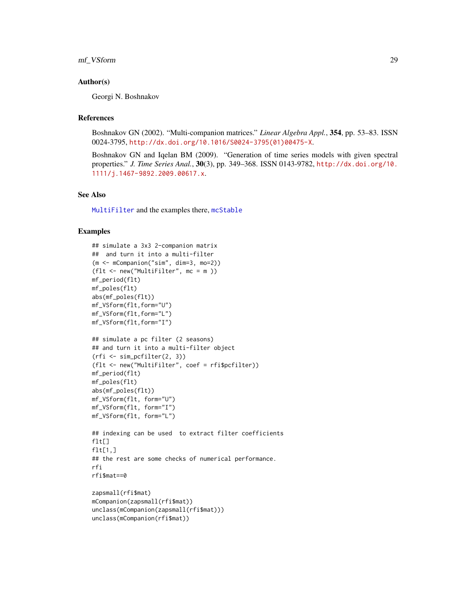<span id="page-28-0"></span>mf\_VSform 29

# Author(s)

Georgi N. Boshnakov

# References

Boshnakov GN (2002). "Multi-companion matrices." *Linear Algebra Appl.*, 354, pp. 53–83. ISSN 0024-3795, [http://dx.doi.org/10.1016/S0024-3795\(01\)00475-X](http://dx.doi.org/10.1016/S0024-3795(01)00475-X).

Boshnakov GN and Iqelan BM (2009). "Generation of time series models with given spectral properties." *J. Time Series Anal.*, 30(3), pp. 349–368. ISSN 0143-9782, [http://dx.doi.org/10.](http://dx.doi.org/10.1111/j.1467-9892.2009.00617.x) [1111/j.1467-9892.2009.00617.x](http://dx.doi.org/10.1111/j.1467-9892.2009.00617.x).

# See Also

[MultiFilter](#page-32-1) and the examples there, [mcStable](#page-16-1)

# Examples

```
## simulate a 3x3 2-companion matrix
## and turn it into a multi-filter
(m <- mCompanion("sim", dim=3, mo=2))
(flt <- new("MultiFilter", mc = m ))
mf_period(flt)
mf_poles(flt)
abs(mf_poles(flt))
mf_VSform(flt,form="U")
mf_VSform(flt,form="L")
mf_VSform(flt,form="I")
## simulate a pc filter (2 seasons)
## and turn it into a multi-filter object
(rfi <- sim_pcfilter(2, 3))
(flt <- new("MultiFilter", coef = rfi$pcfilter))
mf_period(flt)
mf_poles(flt)
abs(mf_poles(flt))
mf_VSform(flt, form="U")
mf_VSform(flt, form="I")
mf_VSform(flt, form="L")
## indexing can be used to extract filter coefficients
flt[]
flt[1,]## the rest are some checks of numerical performance.
rfi
rfi$mat==0
zapsmall(rfi$mat)
mCompanion(zapsmall(rfi$mat))
unclass(mCompanion(zapsmall(rfi$mat)))
unclass(mCompanion(rfi$mat))
```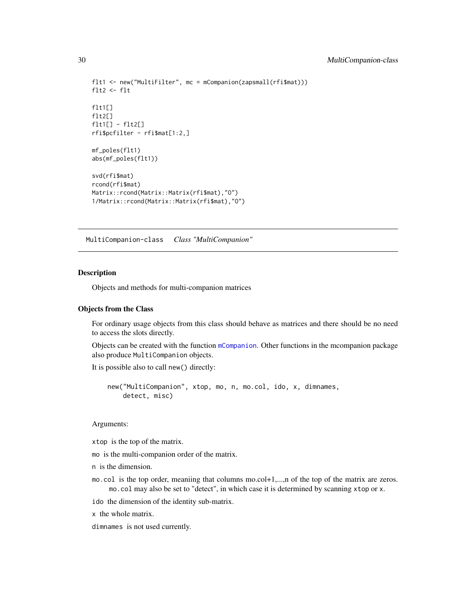```
flt1 <- new("MultiFilter", mc = mCompanion(zapsmall(rfi$mat)))
flt2 <- flt
flt1[]
flt2[]
flt1[] - flt2[]
rfi$pcfilter - rfi$mat[1:2,]
mf_poles(flt1)
abs(mf_poles(flt1))
svd(rfi$mat)
rcond(rfi$mat)
Matrix::rcond(Matrix::Matrix(rfi$mat),"O")
1/Matrix::rcond(Matrix::Matrix(rfi$mat),"O")
```
<span id="page-29-1"></span>MultiCompanion-class *Class "MultiCompanion"*

#### Description

Objects and methods for multi-companion matrices

# Objects from the Class

For ordinary usage objects from this class should behave as matrices and there should be no need to access the slots directly.

Objects can be created with the function [mCompanion](#page-10-1). Other functions in the mcompanion package also produce MultiCompanion objects.

It is possible also to call new() directly:

```
new("MultiCompanion", xtop, mo, n, mo.col, ido, x, dimnames,
   detect, misc)
```
#### Arguments:

xtop is the top of the matrix.

mo is the multi-companion order of the matrix.

n is the dimension.

mo.col is the top order, meaniing that columns mo.col+1,...,n of the top of the matrix are zeros. mo.col may also be set to "detect", in which case it is determined by scanning xtop or x.

ido the dimension of the identity sub-matrix.

x the whole matrix.

dimnames is not used currently.

<span id="page-29-0"></span>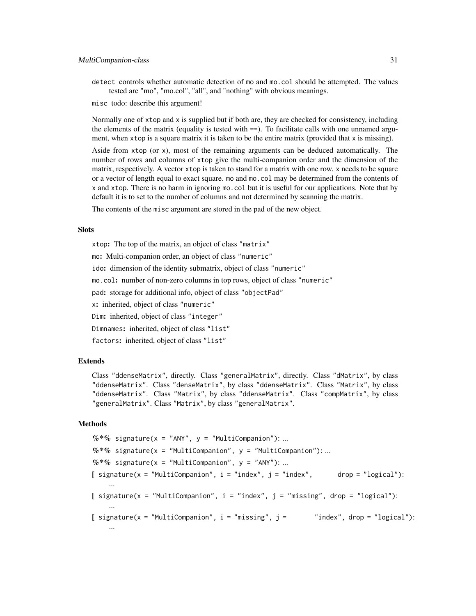detect controls whether automatic detection of mo and mo.col should be attempted. The values tested are "mo", "mo.col", "all", and "nothing" with obvious meanings.

misc todo: describe this argument!

Normally one of xtop and x is supplied but if both are, they are checked for consistency, including the elements of the matrix (equality is tested with ==). To facilitate calls with one unnamed argument, when xtop is a square matrix it is taken to be the entire matrix (provided that x is missing).

Aside from xtop (or x), most of the remaining arguments can be deduced automatically. The number of rows and columns of xtop give the multi-companion order and the dimension of the matrix, respectively. A vector xtop is taken to stand for a matrix with one row. x needs to be square or a vector of length equal to exact square. mo and mo.col may be determined from the contents of x and xtop. There is no harm in ignoring mo.col but it is useful for our applications. Note that by default it is to set to the number of columns and not determined by scanning the matrix.

The contents of the misc argument are stored in the pad of the new object.

#### **Slots**

xtop: The top of the matrix, an object of class "matrix"

mo: Multi-companion order, an object of class "numeric"

ido: dimension of the identity submatrix, object of class "numeric"

mo.col: number of non-zero columns in top rows, object of class "numeric"

pad: storage for additional info, object of class "objectPad"

x: inherited, object of class "numeric"

Dim: inherited, object of class "integer"

Dimnames: inherited, object of class "list"

factors: inherited, object of class "list"

# Extends

Class "ddenseMatrix", directly. Class "generalMatrix", directly. Class "dMatrix", by class "ddenseMatrix". Class "denseMatrix", by class "ddenseMatrix". Class "Matrix", by class "ddenseMatrix". Class "Matrix", by class "ddenseMatrix". Class "compMatrix", by class "generalMatrix". Class "Matrix", by class "generalMatrix".

# Methods

```
% *% signature(x = "ANY", y = "MultiCompanion"): ...
\%*\% signature(x = "MultiCompanion", y = "MultiCompanion"): ...
% *% signature(x = "MultiCompanion", y = "ANY"): ...
[ signature(x = "MultiCompanion", i = "index", j = "index", drop = "logical"):
    ...
[ sigma(x = "MultiCompanion", i = "index", j = "missing", drop = "logical"):
    ...
[ signature(x = "MultiCompanion", i = "missing", j = "index", drop = "logical"):
    ...
```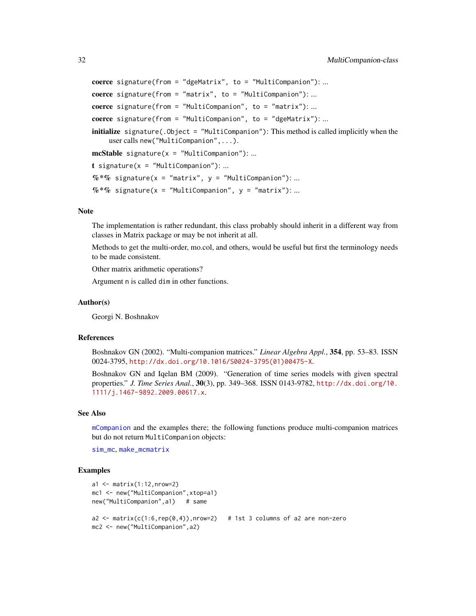```
coerce signature(from = "dgeMatrix", to = "MultiCompanion"): ...
coerce signature(from = "matrix", to = "MultiCompanion"): ...
coerce signature(from = "MultiCompanion", to = "matrix"): ...
coerce signature(from = "MultiCompanion", to = "dgeMatrix"): ...
initialize signature(.Object = "MultiCompanion"): This method is called implicitly when the
    user calls new("MultiCompanion",...).
mcStable signature(x = "MultiCompanion"): ...
t signature(x = "MultiCompanion"): ...
% *% signature(x = "matrix", y = "MultiCompanion"): ...
\%*\% signature(x = "MultiCompanion", y = "matrix"): ...
```
#### Note

The implementation is rather redundant, this class probably should inherit in a different way from classes in Matrix package or may be not inherit at all.

Methods to get the multi-order, mo.col, and others, would be useful but first the terminology needs to be made consistent.

Other matrix arithmetic operations?

Argument n is called dim in other functions.

#### Author(s)

Georgi N. Boshnakov

# References

Boshnakov GN (2002). "Multi-companion matrices." *Linear Algebra Appl.*, 354, pp. 53–83. ISSN 0024-3795, [http://dx.doi.org/10.1016/S0024-3795\(01\)00475-X](http://dx.doi.org/10.1016/S0024-3795(01)00475-X).

Boshnakov GN and Iqelan BM (2009). "Generation of time series models with given spectral properties." *J. Time Series Anal.*, 30(3), pp. 349–368. ISSN 0143-9782, [http://dx.doi.org/10.](http://dx.doi.org/10.1111/j.1467-9892.2009.00617.x) [1111/j.1467-9892.2009.00617.x](http://dx.doi.org/10.1111/j.1467-9892.2009.00617.x).

#### See Also

[mCompanion](#page-10-1) and the examples there; the following functions produce multi-companion matrices but do not return MultiCompanion objects:

[sim\\_mc](#page-37-1), [make\\_mcmatrix](#page-8-1)

#### Examples

```
a1 <- matrix(1:12,nrow=2)
mc1 <- new("MultiCompanion",xtop=a1)
new("MultiCompanion",a1) # same
a2 \le matrix(c(1:6,rep(0,4)),nrow=2) # 1st 3 columns of a2 are non-zero
mc2 <- new("MultiCompanion",a2)
```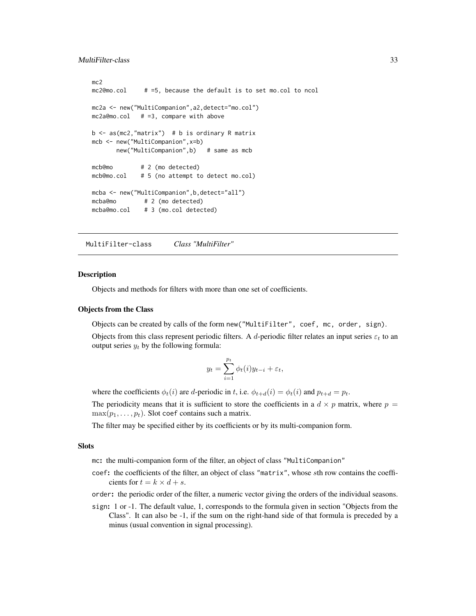#### <span id="page-32-0"></span>MultiFilter-class 33

```
mc2
mc2@mo.col # =5, because the default is to set mo.col to ncol
mc2a <- new("MultiCompanion",a2,detect="mo.col")
mc2a@mo.col # =3, compare with above
b \leq -as (mc2, "matrix") # b is ordinary R matrix
mcb <- new("MultiCompanion",x=b)
      new("MultiCompanion",b) # same as mcb
mcb@mo   # 2 (mo detected)
mcb@mo.col # 5 (no attempt to detect mo.col)
mcba <- new("MultiCompanion",b,detect="all")
mcba@mo # 2 (mo detected)
mcba@mo.col # 3 (mo.col detected)
```
<span id="page-32-1"></span>MultiFilter-class *Class "MultiFilter"*

### **Description**

Objects and methods for filters with more than one set of coefficients.

#### Objects from the Class

Objects can be created by calls of the form new("MultiFilter", coef, mc, order, sign).

Objects from this class represent periodic filters. A d-periodic filter relates an input series  $\varepsilon_t$  to an output series  $y_t$  by the following formula:

$$
y_t = \sum_{i=1}^{p_t} \phi_t(i) y_{t-i} + \varepsilon_t,
$$

where the coefficients  $\phi_t(i)$  are d-periodic in t, i.e.  $\phi_{t+d}(i) = \phi_t(i)$  and  $p_{t+d} = p_t$ .

The periodicity means that it is sufficient to store the coefficients in a  $d \times p$  matrix, where  $p =$  $\max(p_1, \ldots, p_t)$ . Slot coef contains such a matrix.

The filter may be specified either by its coefficients or by its multi-companion form.

# **Slots**

mc: the multi-companion form of the filter, an object of class "MultiCompanion"

coef: the coefficients of the filter, an object of class "matrix", whose sth row contains the coefficients for  $t = k \times d + s$ .

order: the periodic order of the filter, a numeric vector giving the orders of the individual seasons.

sign: 1 or -1. The default value, 1, corresponds to the formula given in section "Objects from the Class". It can also be -1, if the sum on the right-hand side of that formula is preceded by a minus (usual convention in signal processing).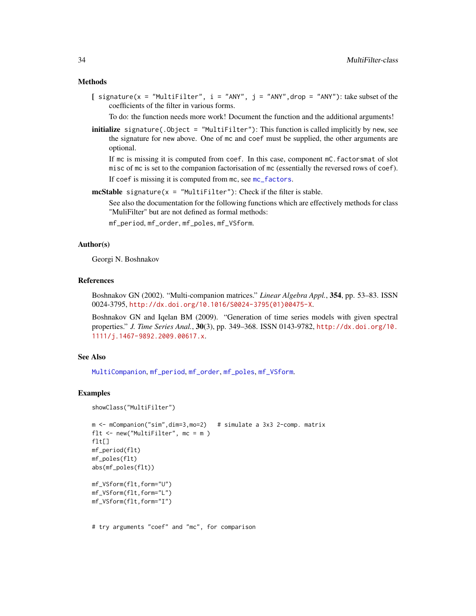#### <span id="page-33-0"></span>Methods

[ signature( $x =$  "MultiFilter",  $i =$  "ANY",  $j =$  "ANY", drop = "ANY"): take subset of the coefficients of the filter in various forms.

To do: the function needs more work! Document the function and the additional arguments!

**initialize** signature(.Object = "MultiFilter"): This function is called implicitly by new, see the signature for new above. One of mc and coef must be supplied, the other arguments are optional.

If mc is missing it is computed from coef. In this case, component mC.factorsmat of slot misc of mc is set to the companion factorisation of mc (essentially the reversed rows of coef). If coef is missing it is computed from mc, see [mc\\_factors](#page-21-1).

mcStable signature( $x =$  "MultiFilter"): Check if the filter is stable.

See also the documentation for the following functions which are effectively methods for class "MuliFilter" but are not defined as formal methods:

mf\_period, mf\_order, mf\_poles, mf\_VSform.

# Author(s)

Georgi N. Boshnakov

showClass("MultiFilter")

# **References**

Boshnakov GN (2002). "Multi-companion matrices." *Linear Algebra Appl.*, 354, pp. 53–83. ISSN 0024-3795, [http://dx.doi.org/10.1016/S0024-3795\(01\)00475-X](http://dx.doi.org/10.1016/S0024-3795(01)00475-X).

Boshnakov GN and Iqelan BM (2009). "Generation of time series models with given spectral properties." *J. Time Series Anal.*, 30(3), pp. 349–368. ISSN 0143-9782, [http://dx.doi.org/10.](http://dx.doi.org/10.1111/j.1467-9892.2009.00617.x) [1111/j.1467-9892.2009.00617.x](http://dx.doi.org/10.1111/j.1467-9892.2009.00617.x).

# See Also

[MultiCompanion](#page-29-1), [mf\\_period](#page-26-2), [mf\\_order](#page-26-2), [mf\\_poles](#page-26-2), [mf\\_VSform](#page-26-1).

# Examples

```
m < - mCompanion("sim",dim=3,mo=2) # simulate a 3x3 2-comp. matrix
flt <- new("MultiFilter", mc = m )
flt[]
mf_period(flt)
mf_poles(flt)
abs(mf_poles(flt))
mf_VSform(flt,form="U")
mf_VSform(flt,form="L")
mf_VSform(flt,form="I")
```
# try arguments "coef" and "mc", for comparison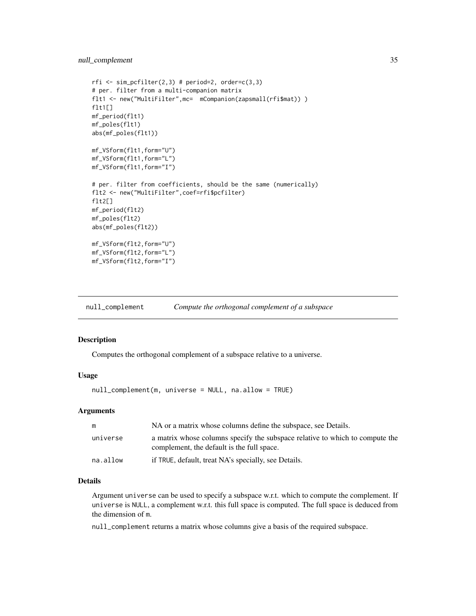# <span id="page-34-0"></span>null\_complement 35

```
rfi \le sim_pcfilter(2,3) # period=2, order=c(3,3)
# per. filter from a multi-companion matrix
flt1 <- new("MultiFilter", mc= mCompanion(zapsmall(rfi$mat)))
flt1[]
mf_period(flt1)
mf_poles(flt1)
abs(mf_poles(flt1))
mf_VSform(flt1,form="U")
mf_VSform(flt1,form="L")
mf_VSform(flt1,form="I")
# per. filter from coefficients, should be the same (numerically)
flt2 <- new("MultiFilter",coef=rfi$pcfilter)
flt2[]
mf_period(flt2)
mf_poles(flt2)
abs(mf_poles(flt2))
mf_VSform(flt2,form="U")
mf_VSform(flt2,form="L")
mf_VSform(flt2,form="I")
```

| null_complement | Compute the orthogonal complement of a subspace |
|-----------------|-------------------------------------------------|
|                 |                                                 |

# Description

Computes the orthogonal complement of a subspace relative to a universe.

# Usage

null\_complement(m, universe = NULL, na.allow = TRUE)

# Arguments

| m        | NA or a matrix whose columns define the subspace, see Details.                                                             |
|----------|----------------------------------------------------------------------------------------------------------------------------|
| universe | a matrix whose columns specify the subspace relative to which to compute the<br>complement, the default is the full space. |
| na.allow | if TRUE, default, treat NA's specially, see Details.                                                                       |

# Details

Argument universe can be used to specify a subspace w.r.t. which to compute the complement. If universe is NULL, a complement w.r.t. this full space is computed. The full space is deduced from the dimension of m.

null\_complement returns a matrix whose columns give a basis of the required subspace.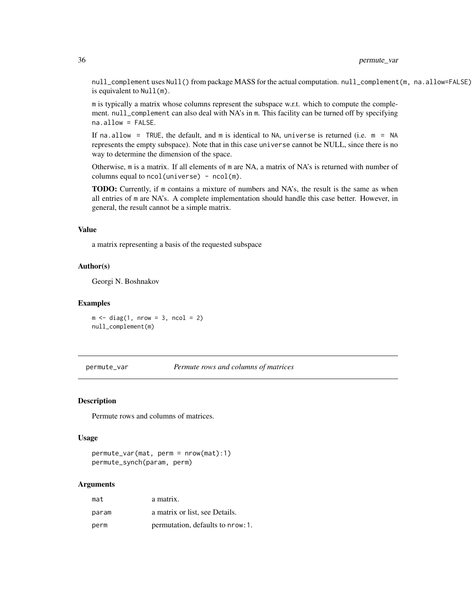null\_complement uses Null() from package MASS for the actual computation. null\_complement(m, na.allow=FALSE) is equivalent to Null(m).

m is typically a matrix whose columns represent the subspace w.r.t. which to compute the complement. null\_complement can also deal with NA's in m. This facility can be turned off by specifying na.allow = FALSE.

If na.allow = TRUE, the default, and m is identical to NA, universe is returned (i.e.  $m = NA$ represents the empty subspace). Note that in this case universe cannot be NULL, since there is no way to determine the dimension of the space.

Otherwise, m is a matrix. If all elements of m are NA, a matrix of NA's is returned with number of columns equal to  $ncol$ (universe) -  $ncol(m)$ .

TODO: Currently, if m contains a mixture of numbers and NA's, the result is the same as when all entries of m are NA's. A complete implementation should handle this case better. However, in general, the result cannot be a simple matrix.

#### Value

a matrix representing a basis of the requested subspace

# Author(s)

Georgi N. Boshnakov

# Examples

 $m \le -$  diag(1, nrow = 3, ncol = 2) null\_complement(m)

permute\_var *Permute rows and columns of matrices*

#### Description

Permute rows and columns of matrices.

#### Usage

```
permute_var(mat, perm = nrow(mat):1)
permute_synch(param, perm)
```
#### **Arguments**

| mat   | a matrix.                         |
|-------|-----------------------------------|
| param | a matrix or list, see Details.    |
| perm  | permutation, defaults to nrow: 1. |

<span id="page-35-0"></span>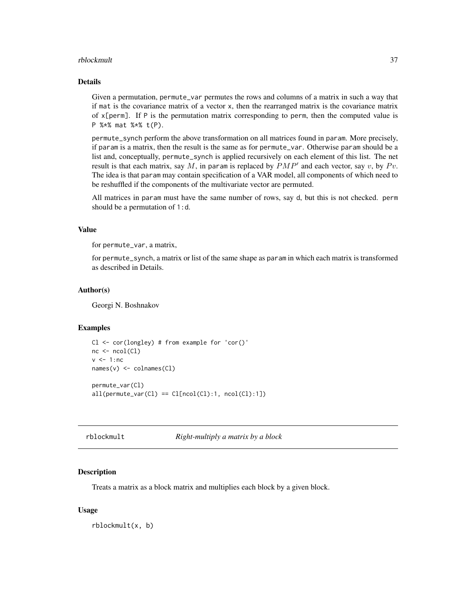#### <span id="page-36-0"></span>rblockmult 37

# Details

Given a permutation, permute\_var permutes the rows and columns of a matrix in such a way that if mat is the covariance matrix of a vector x, then the rearranged matrix is the covariance matrix of  $x[perm]$ . If P is the permutation matrix corresponding to perm, then the computed value is P %\*% mat %\*% t(P).

permute\_synch perform the above transformation on all matrices found in param. More precisely, if param is a matrix, then the result is the same as for permute\_var. Otherwise param should be a list and, conceptually, permute\_synch is applied recursively on each element of this list. The net result is that each matrix, say M, in param is replaced by  $PMP'$  and each vector, say v, by  $Pv$ . The idea is that param may contain specification of a VAR model, all components of which need to be reshuffled if the components of the multivariate vector are permuted.

All matrices in param must have the same number of rows, say d, but this is not checked. perm should be a permutation of 1:d.

# Value

for permute\_var, a matrix,

for permute\_synch, a matrix or list of the same shape as param in which each matrix is transformed as described in Details.

# Author(s)

Georgi N. Boshnakov

#### Examples

```
Cl <- cor(longley) # from example for 'cor()'
nc \leftarrow \text{ncol}(\text{Cl})v \le -1:nc
names(v) <- colnames(Cl)
permute_var(Cl)
all(permute\_var(Cl) == Cl[ncol(Cl):1, ncol(Cl):1])
```
rblockmult *Right-multiply a matrix by a block*

#### Description

Treats a matrix as a block matrix and multiplies each block by a given block.

# Usage

rblockmult(x, b)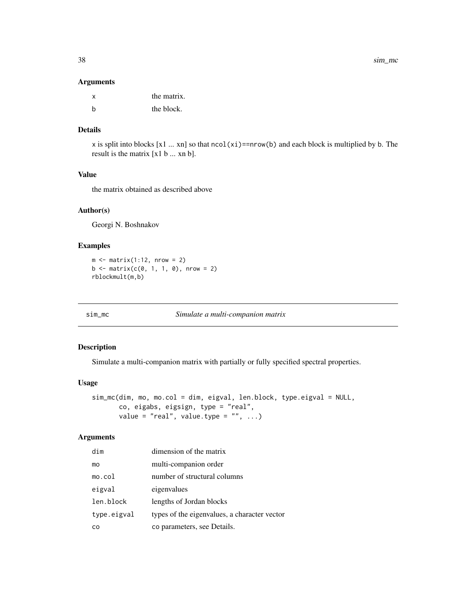# Arguments

| x | the matrix. |
|---|-------------|
| h | the block.  |

# Details

x is split into blocks  $[x1 \dots xn]$  so that  $ncol(xi) == nrow(b)$  and each block is multiplied by b. The result is the matrix [x1 b ... xn b].

# Value

the matrix obtained as described above

# Author(s)

Georgi N. Boshnakov

# Examples

```
m \leq - matrix(1:12, nrow = 2)
b \le - matrix(c(0, 1, 1, 0), nrow = 2)
rblockmult(m,b)
```
<span id="page-37-1"></span>sim\_mc *Simulate a multi-companion matrix*

# Description

Simulate a multi-companion matrix with partially or fully specified spectral properties.

# Usage

```
sim_mc(dim, mo, mo.col = dim, eigval, len.block, type.eigval = NULL,
       co, eigabs, eigsign, type = "real",
       value = "real", value.type = "", ...)
```
# Arguments

| dim         | dimension of the matrix                      |
|-------------|----------------------------------------------|
| mo          | multi-companion order                        |
| mo.col      | number of structural columns                 |
| eigval      | eigenvalues                                  |
| len.block   | lengths of Jordan blocks                     |
| type.eigval | types of the eigenvalues, a character vector |
| co          | co parameters, see Details.                  |

<span id="page-37-0"></span>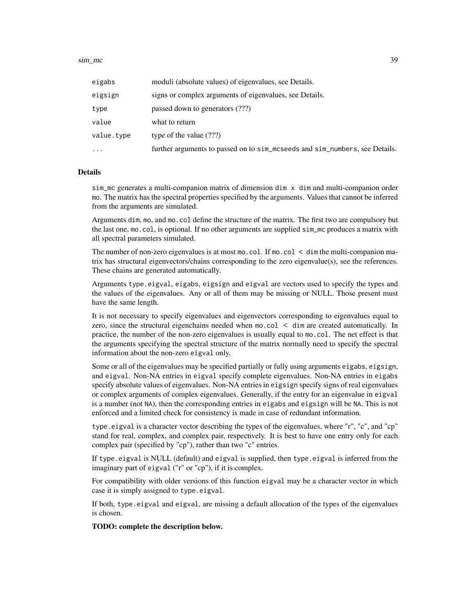#### sim\_mc 39

| eigabs     | moduli (absolute values) of eigenvalues, see Details.                       |
|------------|-----------------------------------------------------------------------------|
| eigsign    | signs or complex arguments of eigenvalues, see Details.                     |
| type       | passed down to generators (???)                                             |
| value      | what to return                                                              |
| value.type | type of the value $(???)$                                                   |
| $\ddotsc$  | further arguments to passed on to sim_mcseeds and sim_numbers, see Details. |

#### Details

sim\_mc generates a multi-companion matrix of dimension dim x dim and multi-companion order mo. The matrix has the spectral properties specified by the arguments. Values that cannot be inferred from the arguments are simulated.

Arguments dim, mo, and mo.col define the structure of the matrix. The first two are compulsory but the last one, mo.col, is optional. If no other arguments are supplied sim\_mc produces a matrix with all spectral parameters simulated.

The number of non-zero eigenvalues is at most  $mo$ .col. If  $mo$ .col  $\lt$  dim the multi-companion matrix has structural eigenvectors/chains corresponding to the zero eigenvalue(s), see the references. These chains are generated automatically.

Arguments type.eigval, eigabs, eigsign and eigval are vectors used to specify the types and the values of the eigenvalues. Any or all of them may be missing or NULL. Those present must have the same length.

It is not necessary to specify eigenvalues and eigenvectors corresponding to eigenvalues equal to zero, since the structural eigenchains needed when mo.col < dim are created automatically. In practice, the number of the non-zero eigenvalues is usually equal to mo.col. The net effect is that the arguments specifying the spectral structure of the matrix normally need to specify the spectral information about the non-zero eigval only.

Some or all of the eigenvalues may be specified partially or fully using arguments eigabs, eigsign, and eigval. Non-NA entries in eigval specify complete eigenvalues. Non-NA entries in eigabs specify absolute values of eigenvalues. Non-NA entries in eigsign specify signs of real eigenvalues or complex arguments of complex eigenvalues. Generally, if the entry for an eigenvalue in eigval is a number (not NA), then the corresponding entries in eigabs and eigsign will be NA. This is not enforced and a limited check for consistency is made in case of redundant information.

type.eigval is a character vector describing the types of the eigenvalues, where "r", "c", and "cp" stand for real, complex, and complex pair, respectively. It is best to have one entry only for each complex pair (specified by "cp"), rather than two "c" entries.

If type.eigval is NULL (default) and eigval is supplied, then type.eigval is inferred from the imaginary part of eigval ("r" or "cp"), if it is complex.

For compatibility with older versions of this function eigval may be a character vector in which case it is simply assigned to type.eigval.

If both, type.eigval and eigval, are missing a default allocation of the types of the eigenvalues is chosen.

TODO: complete the description below.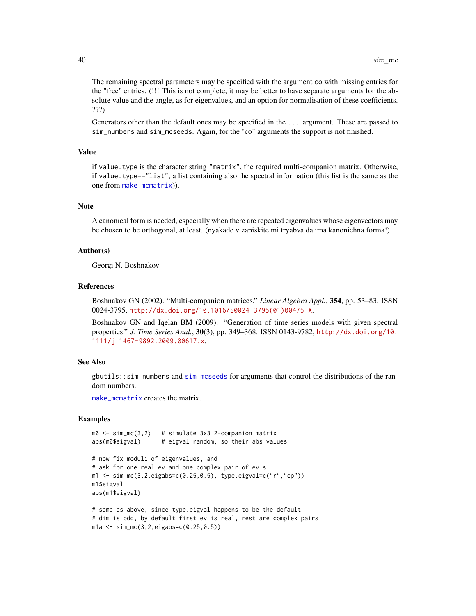The remaining spectral parameters may be specified with the argument co with missing entries for the "free" entries. (!!! This is not complete, it may be better to have separate arguments for the absolute value and the angle, as for eigenvalues, and an option for normalisation of these coefficients. ???)

Generators other than the default ones may be specified in the ... argument. These are passed to sim\_numbers and sim\_mcseeds. Again, for the "co" arguments the support is not finished.

# Value

if value.type is the character string "matrix", the required multi-companion matrix. Otherwise, if value.type=="list", a list containing also the spectral information (this list is the same as the one from [make\\_mcmatrix](#page-8-1))).

#### Note

A canonical form is needed, especially when there are repeated eigenvalues whose eigenvectors may be chosen to be orthogonal, at least. (nyakade v zapiskite mi tryabva da ima kanonichna forma!)

# Author(s)

Georgi N. Boshnakov

# References

Boshnakov GN (2002). "Multi-companion matrices." *Linear Algebra Appl.*, 354, pp. 53–83. ISSN 0024-3795, [http://dx.doi.org/10.1016/S0024-3795\(01\)00475-X](http://dx.doi.org/10.1016/S0024-3795(01)00475-X).

Boshnakov GN and Iqelan BM (2009). "Generation of time series models with given spectral properties." *J. Time Series Anal.*, 30(3), pp. 349–368. ISSN 0143-9782, [http://dx.doi.org/10.](http://dx.doi.org/10.1111/j.1467-9892.2009.00617.x) [1111/j.1467-9892.2009.00617.x](http://dx.doi.org/10.1111/j.1467-9892.2009.00617.x).

# See Also

gbutils::sim\_numbers and [sim\\_mcseeds](#page-0-0) for arguments that control the distributions of the random numbers.

[make\\_mcmatrix](#page-8-1) creates the matrix.

## Examples

```
m0 \leq -\sin(mc(3,2)) # simulate 3x3 2-companion matrix
abs(m0$eigval) # eigval random, so their abs values
```

```
# now fix moduli of eigenvalues, and
# ask for one real ev and one complex pair of ev's
m1 <- sim_mc(3,2,eigabs=c(0.25,0.5), type.eigval=c("r","cp"))
m1$eigval
abs(m1$eigval)
```

```
# same as above, since type.eigval happens to be the default
# dim is odd, by default first ev is real, rest are complex pairs
m1a <- sim_mc(3,2,eigabs=c(0.25,0.5))
```
<span id="page-39-0"></span>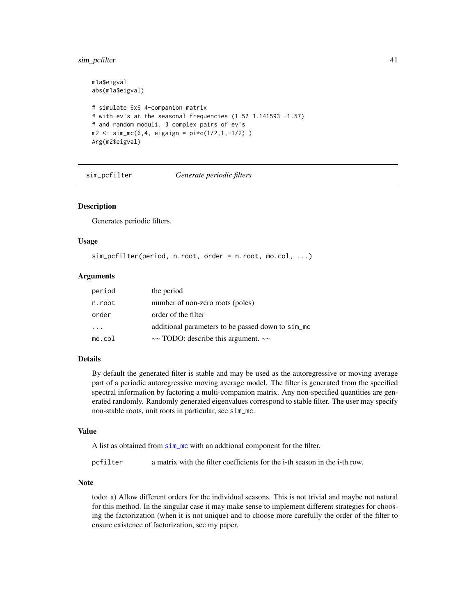# <span id="page-40-0"></span>sim\_pcfilter 41

```
m1a$eigval
abs(m1a$eigval)
# simulate 6x6 4-companion matrix
# with ev's at the seasonal frequencies (1.57 3.141593 -1.57)
# and random moduli. 3 complex pairs of ev's
m2 \le -\nsimmc(6, 4, \text{eigsign} = \text{pix}(1/2, 1, -1/2))
Arg(m2$eigval)
```
<span id="page-40-1"></span>sim\_pcfilter *Generate periodic filters*

# **Description**

Generates periodic filters.

# Usage

sim\_pcfilter(period, n.root, order = n.root, mo.col, ...)

# Arguments

| period                  | the period                                        |
|-------------------------|---------------------------------------------------|
| n.root                  | number of non-zero roots (poles)                  |
| order                   | order of the filter                               |
| $\cdot$ $\cdot$ $\cdot$ | additional parameters to be passed down to sim_mc |
| mo.co1                  | $\sim$ TODO: describe this argument. $\sim$       |

#### Details

By default the generated filter is stable and may be used as the autoregressive or moving average part of a periodic autoregressive moving average model. The filter is generated from the specified spectral information by factoring a multi-companion matrix. Any non-specified quantities are generated randomly. Randomly generated eigenvalues correspond to stable filter. The user may specify non-stable roots, unit roots in particular, see sim\_mc.

#### Value

A list as obtained from [sim\\_mc](#page-37-1) with an addtional component for the filter.

pcfilter a matrix with the filter coefficients for the i-th season in the i-th row.

#### Note

todo: a) Allow different orders for the individual seasons. This is not trivial and maybe not natural for this method. In the singular case it may make sense to implement different strategies for choosing the factorization (when it is not unique) and to choose more carefully the order of the filter to ensure existence of factorization, see my paper.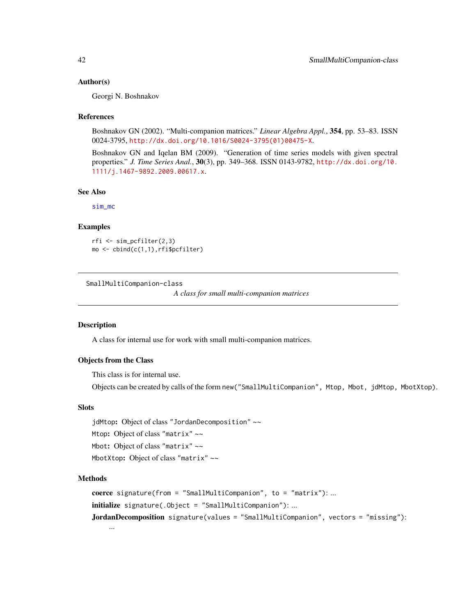# <span id="page-41-0"></span>Author(s)

Georgi N. Boshnakov

#### References

Boshnakov GN (2002). "Multi-companion matrices." *Linear Algebra Appl.*, 354, pp. 53–83. ISSN 0024-3795, [http://dx.doi.org/10.1016/S0024-3795\(01\)00475-X](http://dx.doi.org/10.1016/S0024-3795(01)00475-X).

Boshnakov GN and Iqelan BM (2009). "Generation of time series models with given spectral properties." *J. Time Series Anal.*, 30(3), pp. 349–368. ISSN 0143-9782, [http://dx.doi.org/10.](http://dx.doi.org/10.1111/j.1467-9892.2009.00617.x) [1111/j.1467-9892.2009.00617.x](http://dx.doi.org/10.1111/j.1467-9892.2009.00617.x).

# See Also

[sim\\_mc](#page-37-1)

# Examples

rfi <- sim\_pcfilter(2,3) mo <- cbind(c(1,1),rfi\$pcfilter)

SmallMultiCompanion-class

*A class for small multi-companion matrices*

# Description

A class for internal use for work with small multi-companion matrices.

# Objects from the Class

This class is for internal use.

Objects can be created by calls of the form new("SmallMultiCompanion", Mtop, Mbot, jdMtop, MbotXtop).

# Slots

jdMtop: Object of class "JordanDecomposition" ~~ Mtop: Object of class "matrix" ~~ Mbot: Object of class "matrix" ~~

MbotXtop: Object of class "matrix" ~~

# Methods

```
coerce signature(from = "SmallMultiCompanion", to = "matrix"): ...
initialize signature(.Object = "SmallMultiCompanion"): ...
JordanDecomposition signature(values = "SmallMultiCompanion", vectors = "missing"):
    ...
```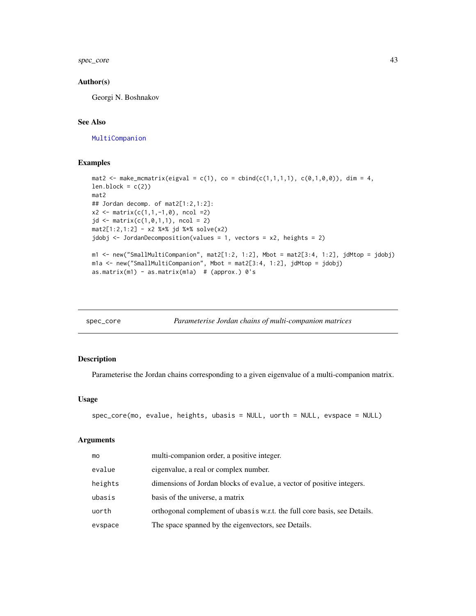<span id="page-42-0"></span>spec\_core 43

# Author(s)

Georgi N. Boshnakov

# See Also

[MultiCompanion](#page-29-1)

# Examples

```
mat2 <- make_mcmatrix(eigval = c(1), co = cbind(c(1,1,1,1), c(0,1,0,0)), dim = 4,
len.block = c(2)mat2
## Jordan decomp. of mat2[1:2,1:2]:
x2 \le matrix(c(1,1,-1,0), ncol =2)
jd \leftarrow matrix(c(1, 0, 1, 1), ncol = 2)mat2[1:2,1:2] - x2 %*% jd %*% solve(x2)
jdobj \leq JordanDecomposition(values = 1, vectors = x2, heights = 2)
m1 <- new("SmallMultiCompanion", mat2[1:2, 1:2], Mbot = mat2[3:4, 1:2], jdMtop = jdobj)
m1a <- new("SmallMultiCompanion", Mbot = mat2[3:4, 1:2], jdMtop = jdobj)
as.matrix(m1) - as.matrix(m1a) # (approx.) 0's
```

| spec_core | Parameterise Jordan chains of multi-companion matrices |  |  |  |  |  |  |
|-----------|--------------------------------------------------------|--|--|--|--|--|--|
|-----------|--------------------------------------------------------|--|--|--|--|--|--|

# Description

Parameterise the Jordan chains corresponding to a given eigenvalue of a multi-companion matrix.

# Usage

```
spec_core(mo, evalue, heights, ubasis = NULL, uorth = NULL, evspace = NULL)
```
#### Arguments

| mo      | multi-companion order, a positive integer.                               |
|---------|--------------------------------------------------------------------------|
| evalue  | eigenvalue, a real or complex number.                                    |
| heights | dimensions of Jordan blocks of evalue, a vector of positive integers.    |
| ubasis  | basis of the universe, a matrix                                          |
| uorth   | orthogonal complement of ubasis w.r.t. the full core basis, see Details. |
| evspace | The space spanned by the eigenvectors, see Details.                      |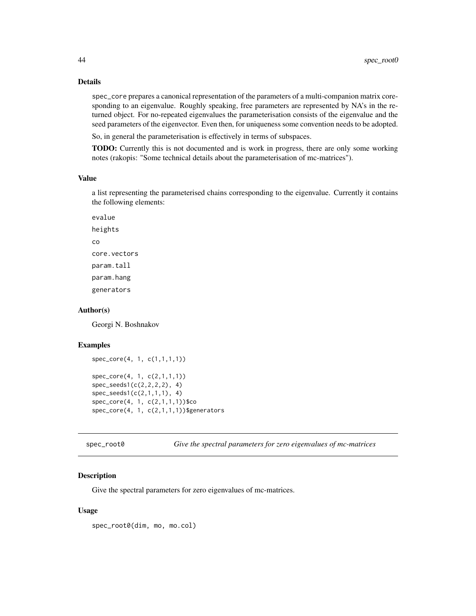# Details

spec\_core prepares a canonical representation of the parameters of a multi-companion matrix coresponding to an eigenvalue. Roughly speaking, free parameters are represented by NA's in the returned object. For no-repeated eigenvalues the parameterisation consists of the eigenvalue and the seed parameters of the eigenvector. Even then, for uniqueness some convention needs to be adopted.

So, in general the parameterisation is effectively in terms of subspaces.

TODO: Currently this is not documented and is work in progress, there are only some working notes (rakopis: "Some technical details about the parameterisation of mc-matrices").

#### Value

a list representing the parameterised chains corresponding to the eigenvalue. Currently it contains the following elements:

evalue heights co core.vectors param.tall param.hang generators

# Author(s)

Georgi N. Boshnakov

# Examples

```
spec_core(4, 1, c(1,1,1,1))
spec_core(4, 1, c(2,1,1,1))
spec_seeds1(c(2,2,2,2), 4)
spec_seeds1(c(2,1,1,1), 4)
spec_core(4, 1, c(2,1,1,1))$co
spec\_core(4, 1, c(2,1,1,1))$generators
```
<span id="page-43-1"></span>spec\_root0 *Give the spectral parameters for zero eigenvalues of mc-matrices*

# **Description**

Give the spectral parameters for zero eigenvalues of mc-matrices.

# Usage

spec\_root0(dim, mo, mo.col)

<span id="page-43-0"></span>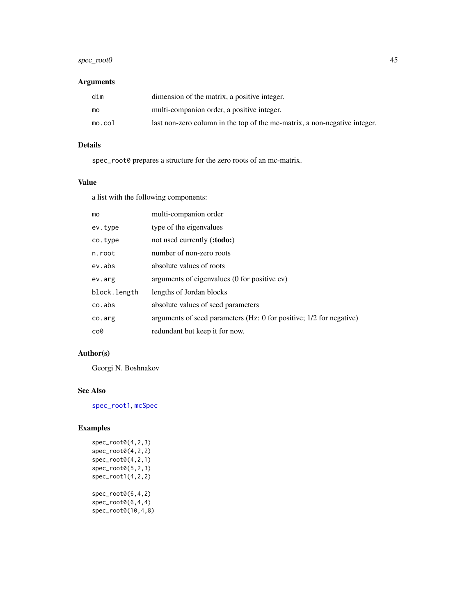# <span id="page-44-0"></span>spec\_root0 45

# Arguments

| dim    | dimension of the matrix, a positive integer.                              |
|--------|---------------------------------------------------------------------------|
| mo     | multi-companion order, a positive integer.                                |
| mo.col | last non-zero column in the top of the mc-matrix, a non-negative integer. |

# Details

spec\_root0 prepares a structure for the zero roots of an mc-matrix.

# Value

a list with the following components:

| mo           | multi-companion order                                               |
|--------------|---------------------------------------------------------------------|
| ev.type      | type of the eigenvalues                                             |
| co.type      | not used currently (:todo:)                                         |
| n.root       | number of non-zero roots                                            |
| ev.abs       | absolute values of roots                                            |
| ev.arg       | arguments of eigenvalues (0 for positive ev)                        |
| block.length | lengths of Jordan blocks                                            |
| co.abs       | absolute values of seed parameters                                  |
| co.arg       | arguments of seed parameters (Hz: 0 for positive; 1/2 for negative) |
| co0          | redundant but keep it for now.                                      |

# Author(s)

Georgi N. Boshnakov

# See Also

[spec\\_root1](#page-45-1), [mcSpec](#page-12-1)

# Examples

spec\_root0(4,2,3) spec\_root0(4,2,2) spec\_root0(4,2,1) spec\_root0(5,2,3) spec\_root1(4,2,2)

spec\_root0(6,4,2) spec\_root0(6,4,4) spec\_root0(10,4,8)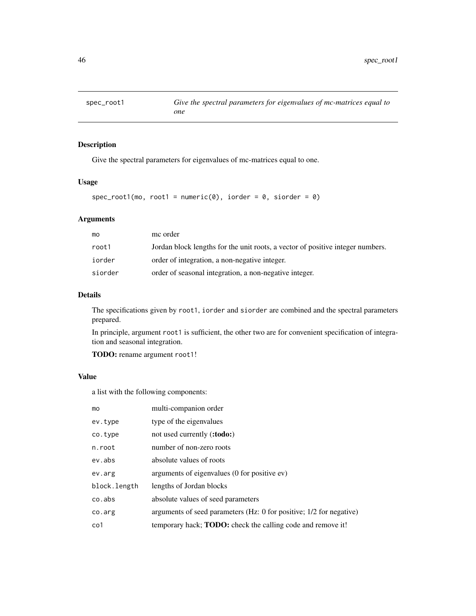<span id="page-45-1"></span><span id="page-45-0"></span>

# Description

Give the spectral parameters for eigenvalues of mc-matrices equal to one.

# Usage

```
spec\_root1(mo, root1 = numeric(0), iorder = 0, siorder = 0)
```
# Arguments

| mo      | mc order                                                                       |
|---------|--------------------------------------------------------------------------------|
| root1   | Jordan block lengths for the unit roots, a vector of positive integer numbers. |
| iorder  | order of integration, a non-negative integer.                                  |
| siorder | order of seasonal integration, a non-negative integer.                         |

# Details

The specifications given by root1, iorder and siorder are combined and the spectral parameters prepared.

In principle, argument root1 is sufficient, the other two are for convenient specification of integration and seasonal integration.

TODO: rename argument root1!

# Value

a list with the following components:

| mo           | multi-companion order                                               |
|--------------|---------------------------------------------------------------------|
| ev.type      | type of the eigenvalues                                             |
| co.type      | not used currently (:todo:)                                         |
| n.root       | number of non-zero roots                                            |
| ev.abs       | absolute values of roots                                            |
| ev.arg       | arguments of eigenvalues (0 for positive ev)                        |
| block.length | lengths of Jordan blocks                                            |
| co.abs       | absolute values of seed parameters                                  |
| co.arg       | arguments of seed parameters (Hz: 0 for positive; 1/2 for negative) |
| co1          | temporary hack; <b>TODO</b> : check the calling code and remove it! |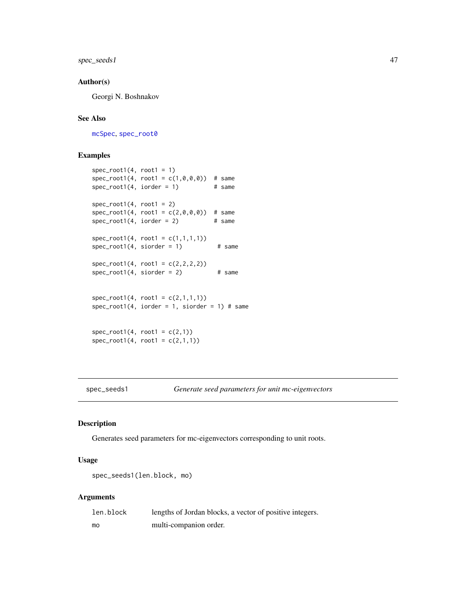<span id="page-46-0"></span>spec\_seeds1 47

# Author(s)

Georgi N. Boshnakov

# See Also

[mcSpec](#page-12-1), [spec\\_root0](#page-43-1)

# Examples

```
spec\_root1(4, root1 = 1)spec\_root1(4, root1 = c(1, 0, 0, 0)) # same
spec\_root1(4, iorder = 1) # same
spec\_root1(4, root1 = 2)spec\_root1(4, root1 = c(2, 0, 0, 0)) # same
spec\_root1(4, iorder = 2) # same
spec\_root1(4, root1 = c(1,1,1,1))spec\_root1(4, sidorder = 1) # same
spec\_root1(4, root1 = c(2, 2, 2, 2))spec\_root1(4, sidorder = 2) # same
spec\_root1(4, root1 = c(2,1,1,1))spec\_root1(4, iorder = 1, sionder = 1) # same
spec\_root1(4, root1 = c(2,1))spec\_root1(4, root1 = c(2,1,1))
```
spec\_seeds1 *Generate seed parameters for unit mc-eigenvectors*

# Description

Generates seed parameters for mc-eigenvectors corresponding to unit roots.

#### Usage

spec\_seeds1(len.block, mo)

# Arguments

| len.block | lengths of Jordan blocks, a vector of positive integers. |
|-----------|----------------------------------------------------------|
| mo        | multi-companion order.                                   |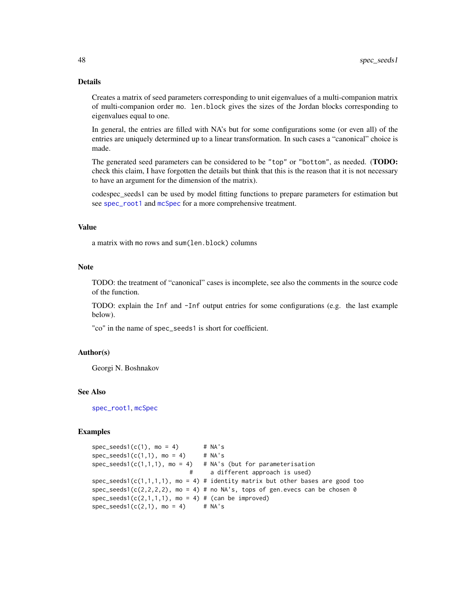# Details

Creates a matrix of seed parameters corresponding to unit eigenvalues of a multi-companion matrix of multi-companion order mo. len.block gives the sizes of the Jordan blocks corresponding to eigenvalues equal to one.

In general, the entries are filled with NA's but for some configurations some (or even all) of the entries are uniquely determined up to a linear transformation. In such cases a "canonical" choice is made.

The generated seed parameters can be considered to be "top" or "bottom", as needed. (TODO: check this claim, I have forgotten the details but think that this is the reason that it is not necessary to have an argument for the dimension of the matrix).

codespec\_seeds1 can be used by model fitting functions to prepare parameters for estimation but see [spec\\_root1](#page-45-1) and [mcSpec](#page-12-1) for a more comprehensive treatment.

# Value

a matrix with mo rows and sum(len.block) columns

#### Note

TODO: the treatment of "canonical" cases is incomplete, see also the comments in the source code of the function.

TODO: explain the Inf and -Inf output entries for some configurations (e.g. the last example below).

"co" in the name of spec\_seeds1 is short for coefficient.

#### Author(s)

Georgi N. Boshnakov

#### See Also

[spec\\_root1](#page-45-1), [mcSpec](#page-12-1)

# Examples

```
spec\_seeds1(c(1), mo = 4) # NA's
spec\_seeds1(c(1,1), mo = 4) # NA's
spec\_seeds1(c(1,1,1), mo = 4) # NA's (but for parameterisation
                           # a different approach is used)
spec\_seeds1(c(1,1,1,1)), mo = 4) # identity matrix but other bases are good too
spec_seeds1(c(2,2,2,2), mo = 4) # no NA's, tops of gen.evecs can be chosen 0
spec\_seeds1(c(2,1,1,1), mo = 4) # (can be improved)
spec\_seeds1(c(2,1), mo = 4) # NA's
```
<span id="page-47-0"></span>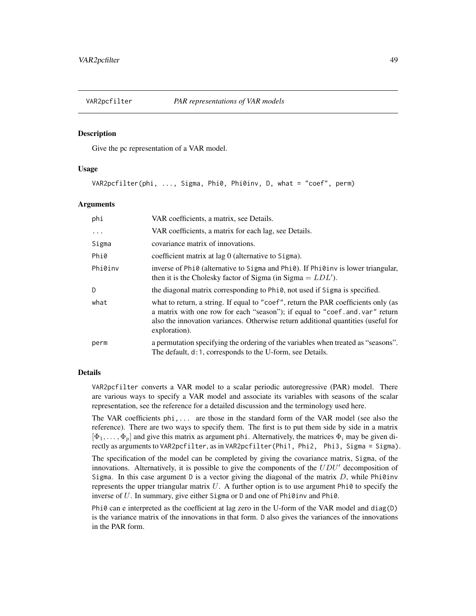<span id="page-48-1"></span><span id="page-48-0"></span>

# Description

Give the pc representation of a VAR model.

## Usage

VAR2pcfilter(phi, ..., Sigma, Phi0, Phi0inv, D, what = "coef", perm)

# **Arguments**

| phi      | VAR coefficients, a matrix, see Details.                                                                                                                                                                                                                                  |
|----------|---------------------------------------------------------------------------------------------------------------------------------------------------------------------------------------------------------------------------------------------------------------------------|
| $\cdots$ | VAR coefficients, a matrix for each lag, see Details.                                                                                                                                                                                                                     |
| Sigma    | covariance matrix of innovations.                                                                                                                                                                                                                                         |
| Phi0     | coefficient matrix at lag 0 (alternative to Sigma).                                                                                                                                                                                                                       |
| Phi0inv  | inverse of Phi0 (alternative to Sigma and Phi0). If Phi0inv is lower triangular,<br>then it is the Cholesky factor of Sigma (in Sigma = $LDL'$ ).                                                                                                                         |
| D        | the diagonal matrix corresponding to Phi0, not used if Sigma is specified.                                                                                                                                                                                                |
| what     | what to return, a string. If equal to "coef", return the PAR coefficients only (as<br>a matrix with one row for each "season"); if equal to "coef. and. var" return<br>also the innovation variances. Otherwise return additional quantities (useful for<br>exploration). |
| perm     | a permutation specifying the ordering of the variables when treated as "seasons".<br>The default, d:1, corresponds to the U-form, see Details.                                                                                                                            |

#### Details

VAR2pcfilter converts a VAR model to a scalar periodic autoregressive (PAR) model. There are various ways to specify a VAR model and associate its variables with seasons of the scalar representation, see the reference for a detailed discussion and the terminology used here.

The VAR coefficients phi,... are those in the standard form of the VAR model (see also the reference). There are two ways to specify them. The first is to put them side by side in a matrix  $[\Phi_1, \ldots, \Phi_p]$  and give this matrix as argument phi. Alternatively, the matrices  $\Phi_i$  may be given directly as arguments to VAR2pcfilter, as in VAR2pcfilter(Phi1, Phi2, Phi3, Sigma = Sigma).

The specification of the model can be completed by giving the covariance matrix, Sigma, of the innovations. Alternatively, it is possible to give the components of the  $UDU'$  decomposition of Sigma. In this case argument D is a vector giving the diagonal of the matrix  $D$ , while Phi0inv represents the upper triangular matrix U. A further option is to use argument Phi $\theta$  to specify the inverse of U. In summary, give either Sigma or D and one of Phi0inv and Phi0.

Phi0 can e interpreted as the coefficient at lag zero in the U-form of the VAR model and diag(D) is the variance matrix of the innovations in that form. D also gives the variances of the innovations in the PAR form.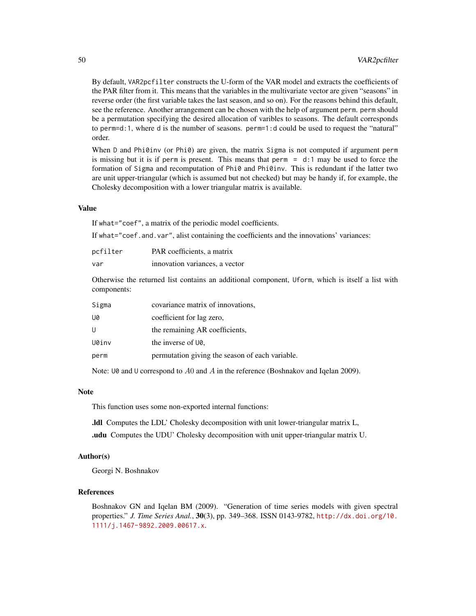By default, VAR2pcfilter constructs the U-form of the VAR model and extracts the coefficients of the PAR filter from it. This means that the variables in the multivariate vector are given "seasons" in reverse order (the first variable takes the last season, and so on). For the reasons behind this default, see the reference. Another arrangement can be chosen with the help of argument perm. perm should be a permutation specifying the desired allocation of varibles to seasons. The default corresponds to perm=d:1, where d is the number of seasons. perm=1:d could be used to request the "natural" order.

When D and Phi0inv (or Phi0) are given, the matrix Sigma is not computed if argument perm is missing but it is if perm is present. This means that perm  $= d:1$  may be used to force the formation of Sigma and recomputation of Phi0 and Phi0inv. This is redundant if the latter two are unit upper-triangular (which is assumed but not checked) but may be handy if, for example, the Cholesky decomposition with a lower triangular matrix is available.

# Value

If what="coef", a matrix of the periodic model coefficients.

If what="coef.and.var", alist containing the coefficients and the innovations' variances:

| pcfilter | PAR coefficients, a matrix     |
|----------|--------------------------------|
| var      | innovation variances, a vector |

Otherwise the returned list contains an additional component, Uform, which is itself a list with components:

| Sigma | covariance matrix of innovations,               |
|-------|-------------------------------------------------|
| U0    | coefficient for lag zero,                       |
| U     | the remaining AR coefficients.                  |
| U0inv | the inverse of U0,                              |
| perm  | permutation giving the season of each variable. |
|       |                                                 |

Note: U0 and U correspond to A0 and A in the reference (Boshnakov and Iqelan 2009).

#### Note

This function uses some non-exported internal functions:

.ldl Computes the LDL' Cholesky decomposition with unit lower-triangular matrix L,

.udu Computes the UDU' Cholesky decomposition with unit upper-triangular matrix U.

#### Author(s)

Georgi N. Boshnakov

# References

Boshnakov GN and Iqelan BM (2009). "Generation of time series models with given spectral properties." *J. Time Series Anal.*, 30(3), pp. 349–368. ISSN 0143-9782, [http://dx.doi.org/10.](http://dx.doi.org/10.1111/j.1467-9892.2009.00617.x) [1111/j.1467-9892.2009.00617.x](http://dx.doi.org/10.1111/j.1467-9892.2009.00617.x).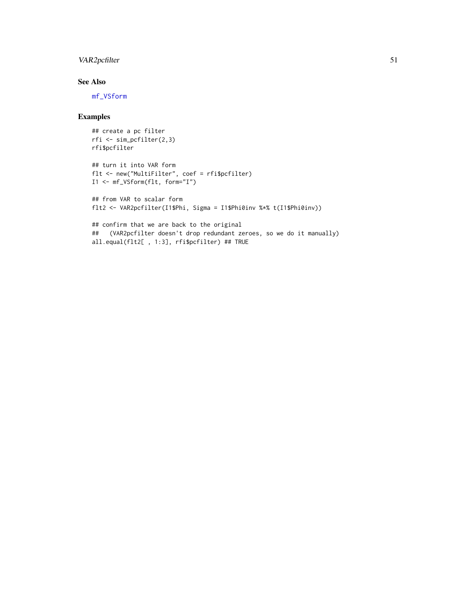# <span id="page-50-0"></span>VAR2pcfilter 51

# See Also

[mf\\_VSform](#page-26-1)

# Examples

```
## create a pc filter
rfi <- sim_pcfilter(2,3)
rfi$pcfilter
## turn it into VAR form
flt <- new("MultiFilter", coef = rfi$pcfilter)
I1 <- mf_VSform(flt, form="I")
## from VAR to scalar form
flt2 <- VAR2pcfilter(I1$Phi, Sigma = I1$Phi0inv %*% t(I1$Phi0inv))
## confirm that we are back to the original
```
## (VAR2pcfilter doesn't drop redundant zeroes, so we do it manually)

all.equal(flt2[ , 1:3], rfi\$pcfilter) ## TRUE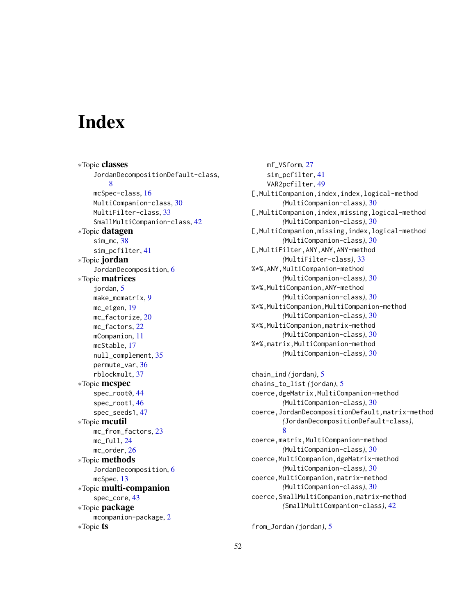# <span id="page-51-0"></span>**Index**

∗Topic classes JordanDecompositionDefault-class, [8](#page-7-0) mcSpec-class, [16](#page-15-0) MultiCompanion-class, [30](#page-29-0) MultiFilter-class, [33](#page-32-0) SmallMultiCompanion-class, [42](#page-41-0) ∗Topic datagen sim\_mc, [38](#page-37-0) sim\_pcfilter, [41](#page-40-0) ∗Topic jordan JordanDecomposition, [6](#page-5-0) ∗Topic matrices jordan, [5](#page-4-0) make\_mcmatrix, [9](#page-8-0) mc\_eigen, [19](#page-18-0) mc\_factorize, [20](#page-19-0) mc factors, [22](#page-21-0) mCompanion, [11](#page-10-0) mcStable, [17](#page-16-0) null\_complement, [35](#page-34-0) permute\_var, [36](#page-35-0) rblockmult, [37](#page-36-0) ∗Topic mcspec spec\_root0, [44](#page-43-0) spec\_root1, [46](#page-45-0) spec\_seeds1, [47](#page-46-0) ∗Topic mcutil mc\_from\_factors, [23](#page-22-0) mc\_full, [24](#page-23-0) mc\_order, [26](#page-25-0) ∗Topic methods JordanDecomposition, [6](#page-5-0) mcSpec, [13](#page-12-0) ∗Topic multi-companion spec\_core, [43](#page-42-0) ∗Topic package mcompanion-package, [2](#page-1-0) ∗Topic ts

mf\_VSform, [27](#page-26-0) sim\_pcfilter, [41](#page-40-0) VAR2pcfilter, [49](#page-48-0) [, MultiCompanion, index, index, logical-method *(*MultiCompanion-class*)*, [30](#page-29-0) [, MultiCompanion, index, missing, logical-method *(*MultiCompanion-class*)*, [30](#page-29-0) [,MultiCompanion,missing,index,logical-method *(*MultiCompanion-class*)*, [30](#page-29-0) [,MultiFilter,ANY,ANY,ANY-method *(*MultiFilter-class*)*, [33](#page-32-0) %\*%,ANY,MultiCompanion-method *(*MultiCompanion-class*)*, [30](#page-29-0) %\*%,MultiCompanion,ANY-method *(*MultiCompanion-class*)*, [30](#page-29-0) %\*%,MultiCompanion,MultiCompanion-method *(*MultiCompanion-class*)*, [30](#page-29-0) %\*%,MultiCompanion,matrix-method *(*MultiCompanion-class*)*, [30](#page-29-0) %\*%,matrix,MultiCompanion-method *(*MultiCompanion-class*)*, [30](#page-29-0) chain\_ind *(*jordan*)*, [5](#page-4-0)

chains\_to\_list *(*jordan*)*, [5](#page-4-0) coerce,dgeMatrix,MultiCompanion-method *(*MultiCompanion-class*)*, [30](#page-29-0) coerce,JordanDecompositionDefault,matrix-method *(*JordanDecompositionDefault-class*)*, [8](#page-7-0) coerce,matrix,MultiCompanion-method *(*MultiCompanion-class*)*, [30](#page-29-0) coerce,MultiCompanion,dgeMatrix-method *(*MultiCompanion-class*)*, [30](#page-29-0) coerce,MultiCompanion,matrix-method *(*MultiCompanion-class*)*, [30](#page-29-0) coerce,SmallMultiCompanion,matrix-method *(*SmallMultiCompanion-class*)*, [42](#page-41-0)

from\_Jordan *(*jordan*)*, [5](#page-4-0)